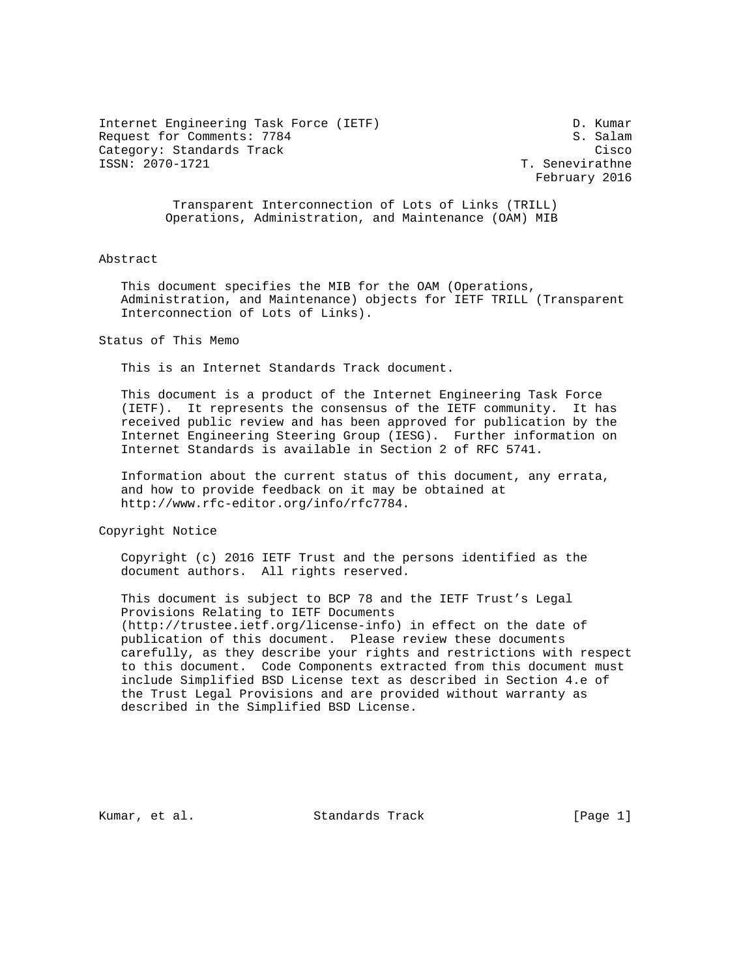Internet Engineering Task Force (IETF) D. Kumar Request for Comments: 7784 S. Salam Category: Standards Track Cisco ISSN: 2070-1721 T. Senevirathne

February 2016

 Transparent Interconnection of Lots of Links (TRILL) Operations, Administration, and Maintenance (OAM) MIB

#### Abstract

 This document specifies the MIB for the OAM (Operations, Administration, and Maintenance) objects for IETF TRILL (Transparent Interconnection of Lots of Links).

Status of This Memo

This is an Internet Standards Track document.

 This document is a product of the Internet Engineering Task Force (IETF). It represents the consensus of the IETF community. It has received public review and has been approved for publication by the Internet Engineering Steering Group (IESG). Further information on Internet Standards is available in Section 2 of RFC 5741.

 Information about the current status of this document, any errata, and how to provide feedback on it may be obtained at http://www.rfc-editor.org/info/rfc7784.

Copyright Notice

 Copyright (c) 2016 IETF Trust and the persons identified as the document authors. All rights reserved.

 This document is subject to BCP 78 and the IETF Trust's Legal Provisions Relating to IETF Documents (http://trustee.ietf.org/license-info) in effect on the date of publication of this document. Please review these documents carefully, as they describe your rights and restrictions with respect to this document. Code Components extracted from this document must include Simplified BSD License text as described in Section 4.e of the Trust Legal Provisions and are provided without warranty as described in the Simplified BSD License.

Kumar, et al. Standards Track [Page 1]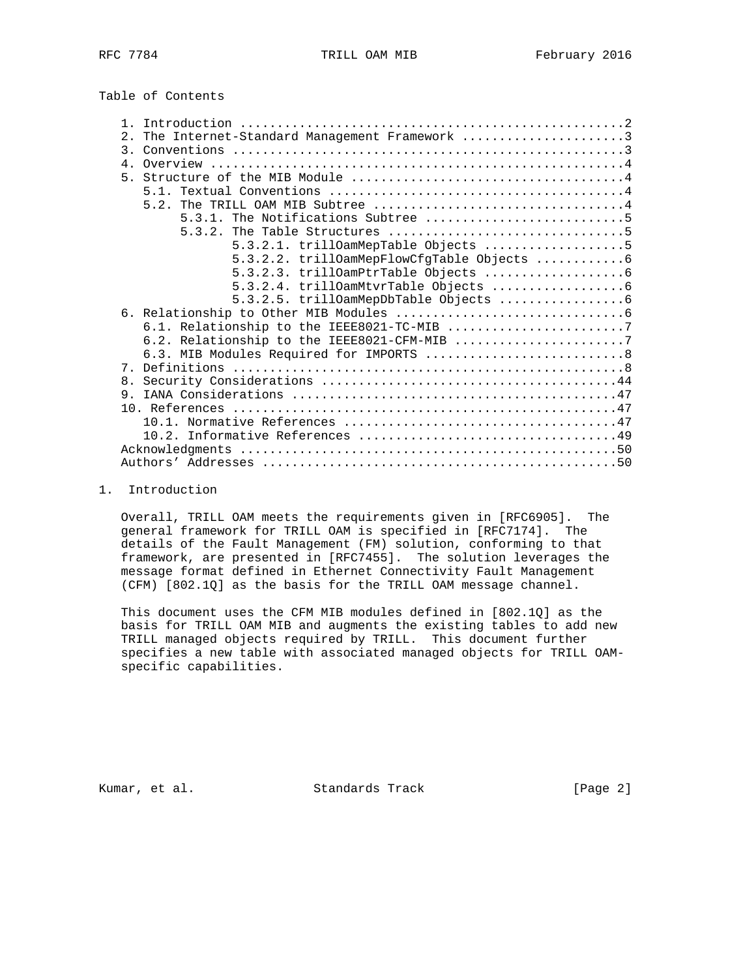Table of Contents

| The Internet-Standard Management Framework 3<br>2.1 |
|-----------------------------------------------------|
| $\overline{3}$ .                                    |
| 4 <sub>1</sub>                                      |
|                                                     |
|                                                     |
|                                                     |
|                                                     |
|                                                     |
| $5.3.2.1. trilloamMepTable Objects     5$           |
| 5.3.2.2. trillOamMepFlowCfgTable Objects 6          |
|                                                     |
|                                                     |
|                                                     |
|                                                     |
|                                                     |
|                                                     |
| 6.3. MIB Modules Required for IMPORTS  8            |
|                                                     |
| 8 <sub>1</sub>                                      |
| 9                                                   |
|                                                     |
|                                                     |
|                                                     |
|                                                     |
|                                                     |
|                                                     |

## 1. Introduction

 Overall, TRILL OAM meets the requirements given in [RFC6905]. The general framework for TRILL OAM is specified in [RFC7174]. The details of the Fault Management (FM) solution, conforming to that framework, are presented in [RFC7455]. The solution leverages the message format defined in Ethernet Connectivity Fault Management (CFM) [802.1Q] as the basis for the TRILL OAM message channel.

 This document uses the CFM MIB modules defined in [802.1Q] as the basis for TRILL OAM MIB and augments the existing tables to add new TRILL managed objects required by TRILL. This document further specifies a new table with associated managed objects for TRILL OAM specific capabilities.

Kumar, et al. Standards Track [Page 2]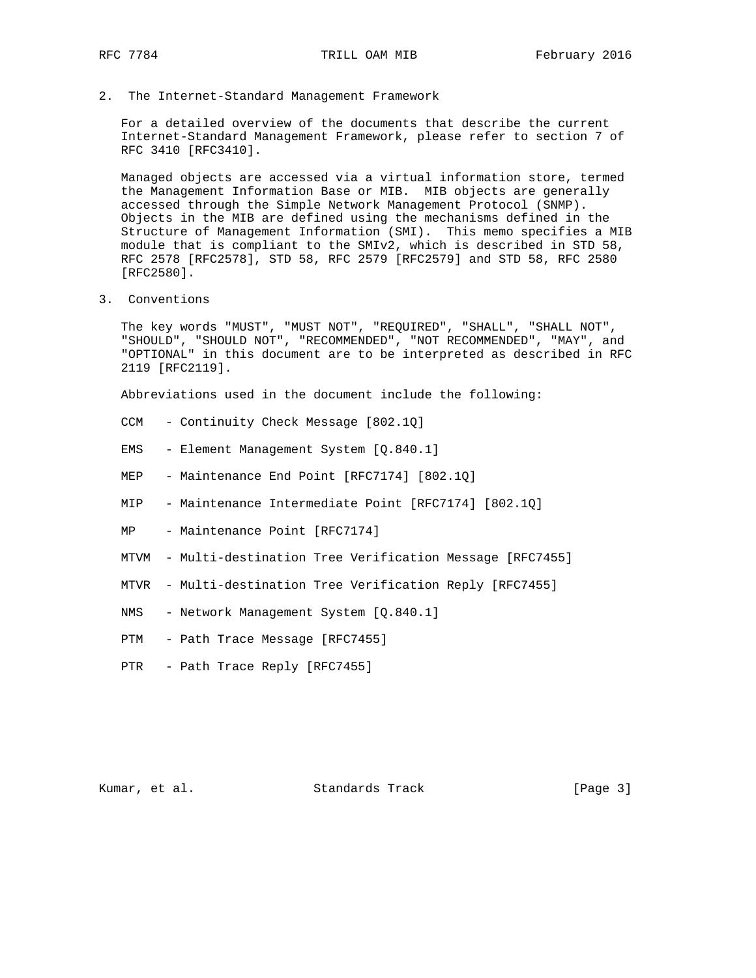2. The Internet-Standard Management Framework

 For a detailed overview of the documents that describe the current Internet-Standard Management Framework, please refer to section 7 of RFC 3410 [RFC3410].

 Managed objects are accessed via a virtual information store, termed the Management Information Base or MIB. MIB objects are generally accessed through the Simple Network Management Protocol (SNMP). Objects in the MIB are defined using the mechanisms defined in the Structure of Management Information (SMI). This memo specifies a MIB module that is compliant to the SMIv2, which is described in STD 58, RFC 2578 [RFC2578], STD 58, RFC 2579 [RFC2579] and STD 58, RFC 2580 [RFC2580].

3. Conventions

 The key words "MUST", "MUST NOT", "REQUIRED", "SHALL", "SHALL NOT", "SHOULD", "SHOULD NOT", "RECOMMENDED", "NOT RECOMMENDED", "MAY", and "OPTIONAL" in this document are to be interpreted as described in RFC 2119 [RFC2119].

Abbreviations used in the document include the following:

- CCM Continuity Check Message [802.1Q]
- EMS Element Management System [Q.840.1]
- MEP Maintenance End Point [RFC7174] [802.1Q]
- MIP Maintenance Intermediate Point [RFC7174] [802.1Q]
- MP Maintenance Point [RFC7174]
- MTVM Multi-destination Tree Verification Message [RFC7455]
- MTVR Multi-destination Tree Verification Reply [RFC7455]
- NMS Network Management System [Q.840.1]
- PTM Path Trace Message [RFC7455]
- PTR Path Trace Reply [RFC7455]

Kumar, et al. Standards Track [Page 3]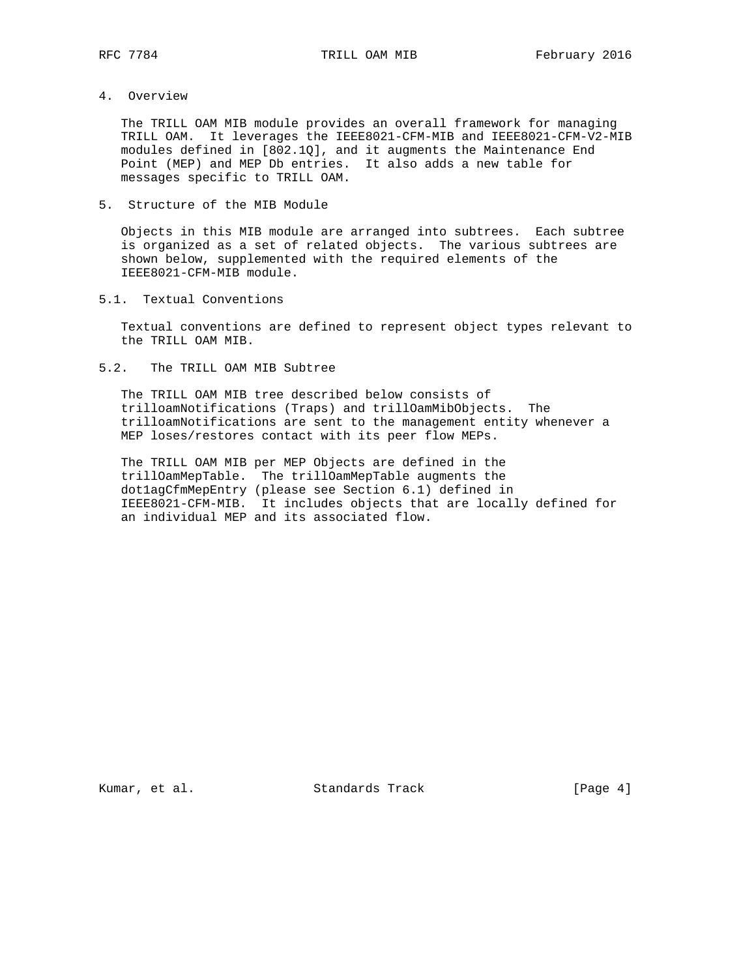## 4. Overview

 The TRILL OAM MIB module provides an overall framework for managing TRILL OAM. It leverages the IEEE8021-CFM-MIB and IEEE8021-CFM-V2-MIB modules defined in [802.1Q], and it augments the Maintenance End Point (MEP) and MEP Db entries. It also adds a new table for messages specific to TRILL OAM.

5. Structure of the MIB Module

 Objects in this MIB module are arranged into subtrees. Each subtree is organized as a set of related objects. The various subtrees are shown below, supplemented with the required elements of the IEEE8021-CFM-MIB module.

5.1. Textual Conventions

 Textual conventions are defined to represent object types relevant to the TRILL OAM MIB.

5.2. The TRILL OAM MIB Subtree

 The TRILL OAM MIB tree described below consists of trilloamNotifications (Traps) and trillOamMibObjects. The trilloamNotifications are sent to the management entity whenever a MEP loses/restores contact with its peer flow MEPs.

 The TRILL OAM MIB per MEP Objects are defined in the trillOamMepTable. The trillOamMepTable augments the dot1agCfmMepEntry (please see Section 6.1) defined in IEEE8021-CFM-MIB. It includes objects that are locally defined for an individual MEP and its associated flow.

Kumar, et al. Standards Track [Page 4]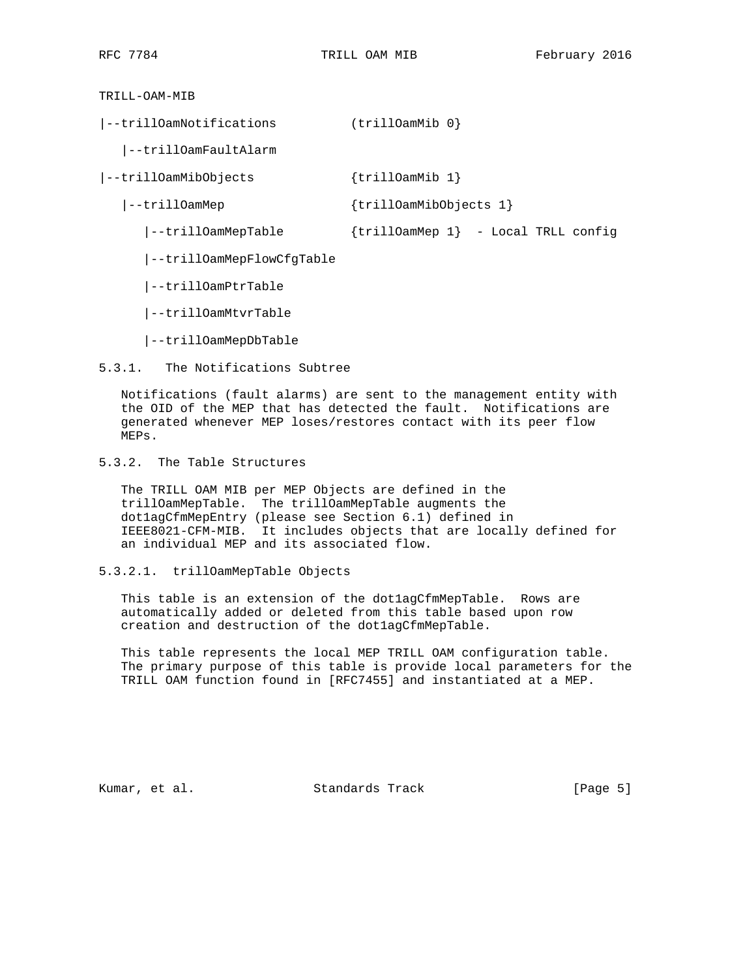TRILL-OAM-MIB

|--trillOamNotifications (trillOamMib 0} |--trillOamFaultAlarm |--trillOamMibObjects {trillOamMib 1} |--trillOamMep {trillOamMibObjects 1} |--trillOamMepTable {trillOamMep 1} - Local TRLL config |--trillOamMepFlowCfgTable |--trillOamPtrTable |--trillOamMtvrTable

|--trillOamMepDbTable

5.3.1. The Notifications Subtree

 Notifications (fault alarms) are sent to the management entity with the OID of the MEP that has detected the fault. Notifications are generated whenever MEP loses/restores contact with its peer flow MEPs.

5.3.2. The Table Structures

 The TRILL OAM MIB per MEP Objects are defined in the trillOamMepTable. The trillOamMepTable augments the dot1agCfmMepEntry (please see Section 6.1) defined in IEEE8021-CFM-MIB. It includes objects that are locally defined for an individual MEP and its associated flow.

5.3.2.1. trillOamMepTable Objects

 This table is an extension of the dot1agCfmMepTable. Rows are automatically added or deleted from this table based upon row creation and destruction of the dot1agCfmMepTable.

 This table represents the local MEP TRILL OAM configuration table. The primary purpose of this table is provide local parameters for the TRILL OAM function found in [RFC7455] and instantiated at a MEP.

Kumar, et al. Standards Track [Page 5]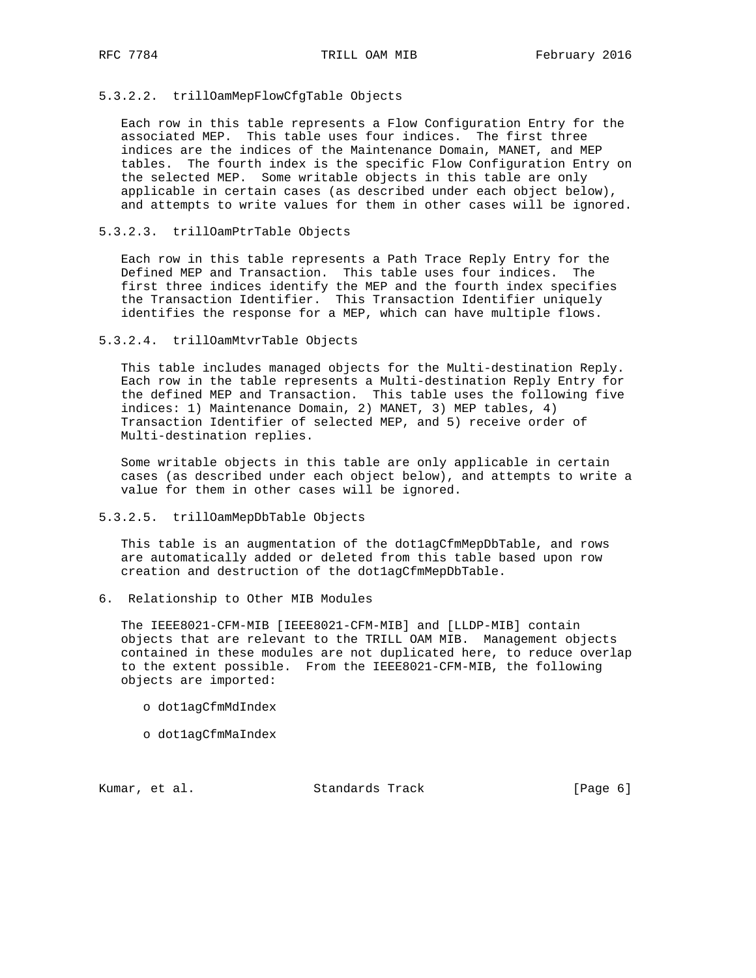# 5.3.2.2. trillOamMepFlowCfgTable Objects

 Each row in this table represents a Flow Configuration Entry for the associated MEP. This table uses four indices. The first three indices are the indices of the Maintenance Domain, MANET, and MEP tables. The fourth index is the specific Flow Configuration Entry on the selected MEP. Some writable objects in this table are only applicable in certain cases (as described under each object below), and attempts to write values for them in other cases will be ignored.

#### 5.3.2.3. trillOamPtrTable Objects

 Each row in this table represents a Path Trace Reply Entry for the Defined MEP and Transaction. This table uses four indices. The first three indices identify the MEP and the fourth index specifies the Transaction Identifier. This Transaction Identifier uniquely identifies the response for a MEP, which can have multiple flows.

### 5.3.2.4. trillOamMtvrTable Objects

 This table includes managed objects for the Multi-destination Reply. Each row in the table represents a Multi-destination Reply Entry for the defined MEP and Transaction. This table uses the following five indices: 1) Maintenance Domain, 2) MANET, 3) MEP tables, 4) Transaction Identifier of selected MEP, and 5) receive order of Multi-destination replies.

 Some writable objects in this table are only applicable in certain cases (as described under each object below), and attempts to write a value for them in other cases will be ignored.

## 5.3.2.5. trillOamMepDbTable Objects

This table is an augmentation of the dotlagCfmMepDbTable, and rows are automatically added or deleted from this table based upon row creation and destruction of the dot1agCfmMepDbTable.

6. Relationship to Other MIB Modules

 The IEEE8021-CFM-MIB [IEEE8021-CFM-MIB] and [LLDP-MIB] contain objects that are relevant to the TRILL OAM MIB. Management objects contained in these modules are not duplicated here, to reduce overlap to the extent possible. From the IEEE8021-CFM-MIB, the following objects are imported:

- o dot1agCfmMdIndex
- o dot1agCfmMaIndex

Kumar, et al. Standards Track [Page 6]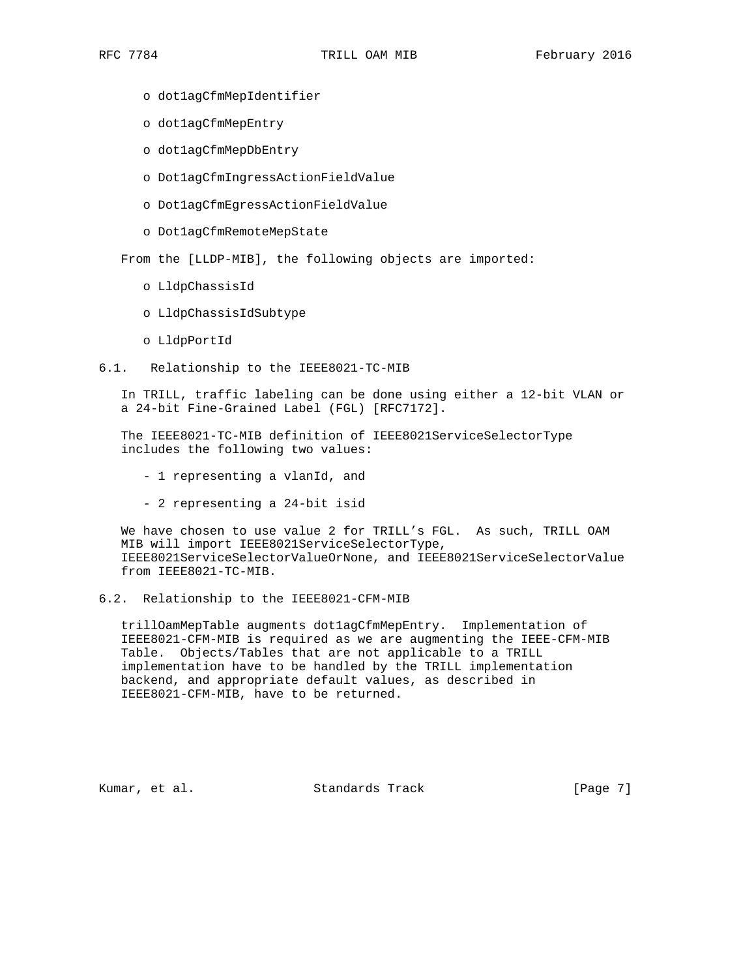- o dot1agCfmMepIdentifier
- o dot1agCfmMepEntry
- o dot1agCfmMepDbEntry
- o Dot1agCfmIngressActionFieldValue
- o Dot1agCfmEgressActionFieldValue
- o Dot1agCfmRemoteMepState

From the [LLDP-MIB], the following objects are imported:

- o LldpChassisId
- o LldpChassisIdSubtype
- o LldpPortId
- 6.1. Relationship to the IEEE8021-TC-MIB

 In TRILL, traffic labeling can be done using either a 12-bit VLAN or a 24-bit Fine-Grained Label (FGL) [RFC7172].

 The IEEE8021-TC-MIB definition of IEEE8021ServiceSelectorType includes the following two values:

- 1 representing a vlanId, and
- 2 representing a 24-bit isid

 We have chosen to use value 2 for TRILL's FGL. As such, TRILL OAM MIB will import IEEE8021ServiceSelectorType, IEEE8021ServiceSelectorValueOrNone, and IEEE8021ServiceSelectorValue from IEEE8021-TC-MIB.

## 6.2. Relationship to the IEEE8021-CFM-MIB

 trillOamMepTable augments dot1agCfmMepEntry. Implementation of IEEE8021-CFM-MIB is required as we are augmenting the IEEE-CFM-MIB Table. Objects/Tables that are not applicable to a TRILL implementation have to be handled by the TRILL implementation backend, and appropriate default values, as described in IEEE8021-CFM-MIB, have to be returned.

Kumar, et al. Standards Track [Page 7]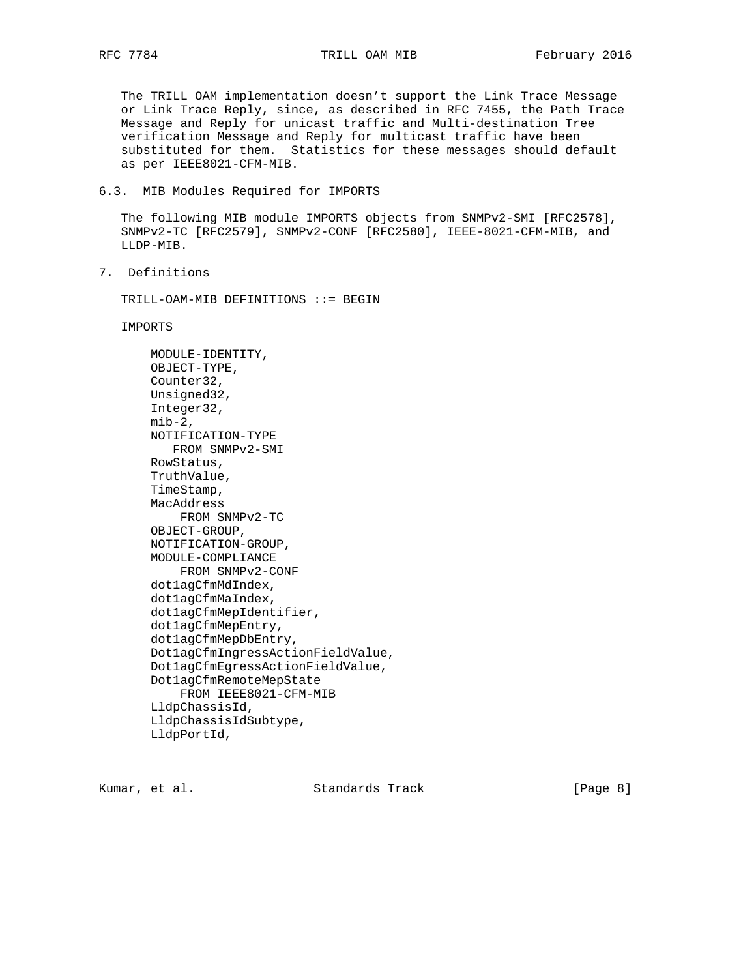The TRILL OAM implementation doesn't support the Link Trace Message or Link Trace Reply, since, as described in RFC 7455, the Path Trace Message and Reply for unicast traffic and Multi-destination Tree verification Message and Reply for multicast traffic have been substituted for them. Statistics for these messages should default as per IEEE8021-CFM-MIB.

6.3. MIB Modules Required for IMPORTS

 The following MIB module IMPORTS objects from SNMPv2-SMI [RFC2578], SNMPv2-TC [RFC2579], SNMPv2-CONF [RFC2580], IEEE-8021-CFM-MIB, and LLDP-MIB.

7. Definitions

TRILL-OAM-MIB DEFINITIONS ::= BEGIN

IMPORTS

 MODULE-IDENTITY, OBJECT-TYPE, Counter32, Unsigned32, Integer32,  $min-2$ , NOTIFICATION-TYPE FROM SNMPv2-SMI RowStatus, TruthValue, TimeStamp, MacAddress FROM SNMPv2-TC OBJECT-GROUP, NOTIFICATION-GROUP, MODULE-COMPLIANCE FROM SNMPv2-CONF dot1agCfmMdIndex, dot1agCfmMaIndex, dot1agCfmMepIdentifier, dot1agCfmMepEntry, dot1agCfmMepDbEntry, Dot1agCfmIngressActionFieldValue, Dot1agCfmEgressActionFieldValue, Dot1agCfmRemoteMepState FROM IEEE8021-CFM-MIB LldpChassisId, LldpChassisIdSubtype, LldpPortId,

Kumar, et al. Standards Track [Page 8]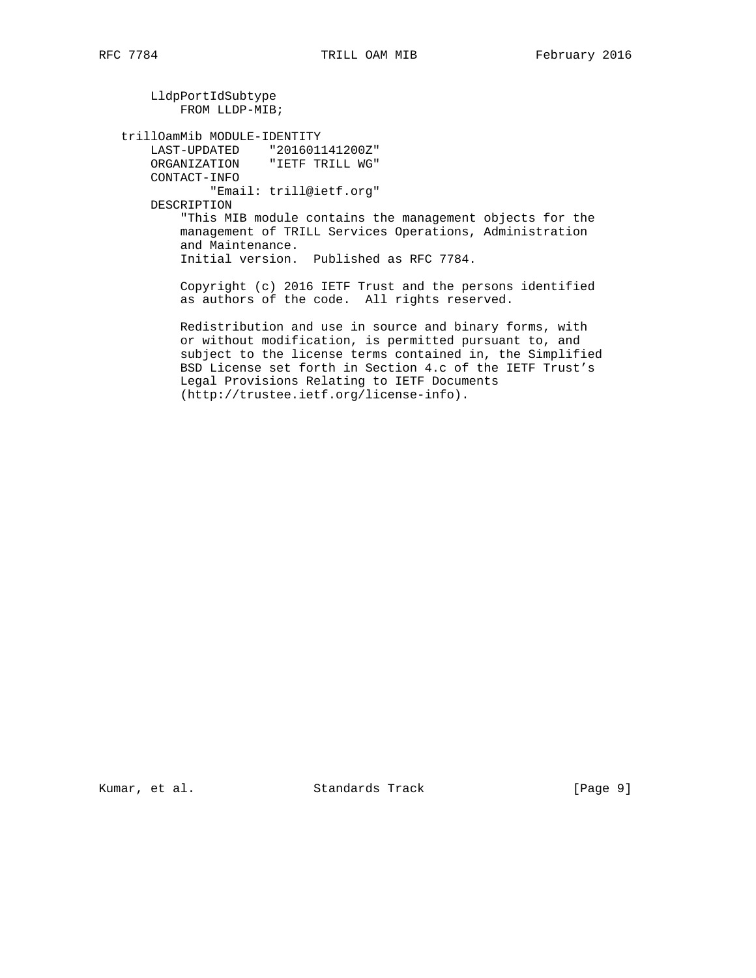LldpPortIdSubtype FROM LLDP-MIB; trillOamMib MODULE-IDENTITY LAST-UPDATED "201601141200Z" ORGANIZATION "IETF TRILL WG" CONTACT-INFO "Email: trill@ietf.org" DESCRIPTION "This MIB module contains the management objects for the management of TRILL Services Operations, Administration and Maintenance. Initial version. Published as RFC 7784. Copyright (c) 2016 IETF Trust and the persons identified as authors of the code. All rights reserved. Redistribution and use in source and binary forms, with or without modification, is permitted pursuant to, and subject to the license terms contained in, the Simplified BSD License set forth in Section 4.c of the IETF Trust's Legal Provisions Relating to IETF Documents

(http://trustee.ietf.org/license-info).

Kumar, et al. Standards Track [Page 9]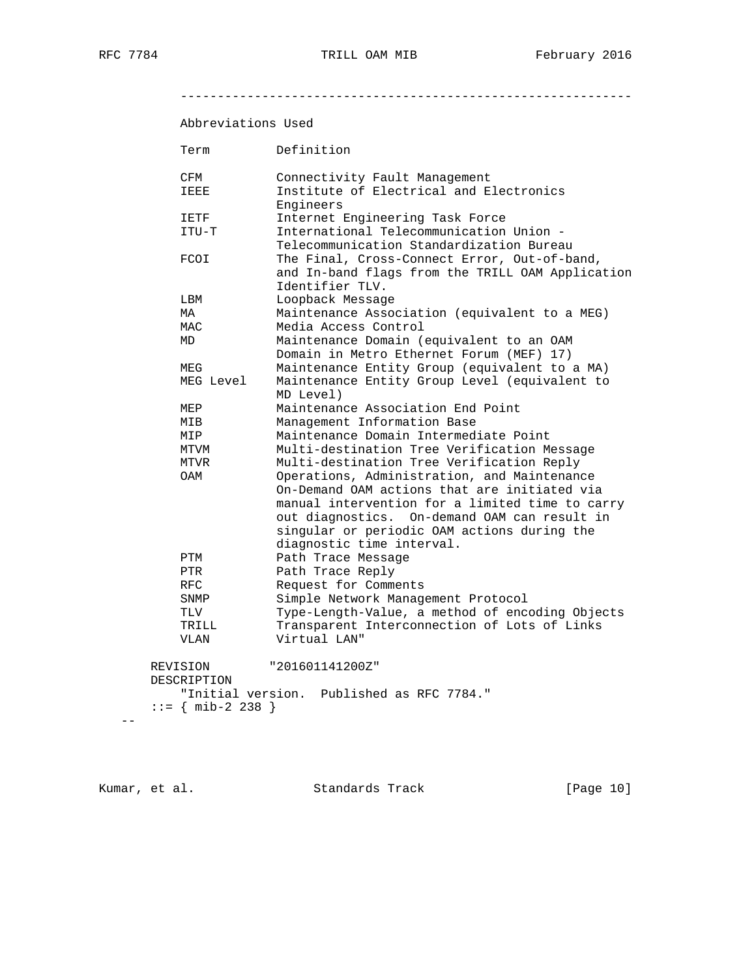-------------------------------------------------------------

# Abbreviations Used

| Term                           | Definition                                                 |
|--------------------------------|------------------------------------------------------------|
| CFM                            | Connectivity Fault Management                              |
| IEEE                           | Institute of Electrical and Electronics                    |
|                                | Engineers                                                  |
| IETF                           | Internet Engineering Task Force                            |
| ITU-T                          | International Telecommunication Union -                    |
|                                | Telecommunication Standardization Bureau                   |
| FCOI                           | The Final, Cross-Connect Error, Out-of-band,               |
|                                | and In-band flags from the TRILL OAM Application           |
|                                | Identifier TLV.                                            |
| LBM                            | Loopback Message                                           |
| МA                             | Maintenance Association (equivalent to a MEG)              |
| MAC                            | Media Access Control                                       |
| MD                             | Maintenance Domain (equivalent to an OAM                   |
|                                | Domain in Metro Ethernet Forum (MEF) 17)                   |
| MEG                            | Maintenance Entity Group (equivalent to a MA)              |
| MEG Level                      | Maintenance Entity Group Level (equivalent to<br>MD Level) |
| MEP                            | Maintenance Association End Point                          |
| MIB                            | Management Information Base                                |
| MIP                            | Maintenance Domain Intermediate Point                      |
| MTVM                           | Multi-destination Tree Verification Message                |
| MTVR                           | Multi-destination Tree Verification Reply                  |
| OAM                            | Operations, Administration, and Maintenance                |
|                                | On-Demand OAM actions that are initiated via               |
|                                | manual intervention for a limited time to carry            |
|                                | out diagnostics. On-demand OAM can result in               |
|                                | singular or periodic OAM actions during the                |
|                                | diagnostic time interval.                                  |
| PTM                            | Path Trace Message                                         |
| PTR                            | Path Trace Reply                                           |
| RFC.                           | Request for Comments                                       |
| SNMP                           | Simple Network Management Protocol                         |
| TLV                            | Type-Length-Value, a method of encoding Objects            |
| TRILL                          | Transparent Interconnection of Lots of Links               |
| <b>VLAN</b>                    | Virtual LAN"                                               |
| REVISION                       | "201601141200Z"                                            |
| DESCRIPTION                    |                                                            |
|                                | "Initial version. Published as RFC 7784."                  |
| $ ::= \{ \text{mib-2 238 } \}$ |                                                            |
|                                |                                                            |

Kumar, et al. Standards Track [Page 10]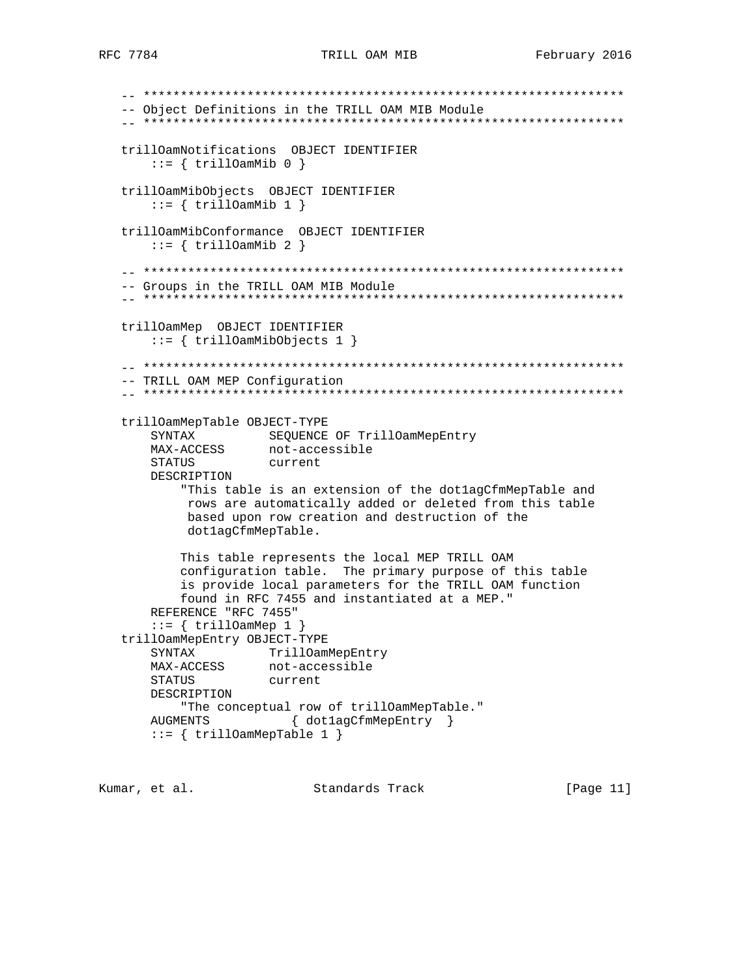-- \*\*\*\*\*\*\*\*\*\*\*\*\*\*\*\*\*\*\*\*\*\*\*\*\*\*\*\*\*\*\*\*\*\*\*\*\*\*\*\*\*\*\*\*\*\*\*\*\*\*\*\*\*\*\*\*\*\*\*\*\*\*\*\*\* -- Object Definitions in the TRILL OAM MIB Module -- \*\*\*\*\*\*\*\*\*\*\*\*\*\*\*\*\*\*\*\*\*\*\*\*\*\*\*\*\*\*\*\*\*\*\*\*\*\*\*\*\*\*\*\*\*\*\*\*\*\*\*\*\*\*\*\*\*\*\*\*\*\*\*\*\* trillOamNotifications OBJECT IDENTIFIER  $::=$  { trillOamMib 0 } trillOamMibObjects OBJECT IDENTIFIER  $::=$  { trillOamMib 1 } trillOamMibConformance OBJECT IDENTIFIER  $::=$  { trillOamMib 2 } -- \*\*\*\*\*\*\*\*\*\*\*\*\*\*\*\*\*\*\*\*\*\*\*\*\*\*\*\*\*\*\*\*\*\*\*\*\*\*\*\*\*\*\*\*\*\*\*\*\*\*\*\*\*\*\*\*\*\*\*\*\*\*\*\*\* -- Groups in the TRILL OAM MIB Module -- \*\*\*\*\*\*\*\*\*\*\*\*\*\*\*\*\*\*\*\*\*\*\*\*\*\*\*\*\*\*\*\*\*\*\*\*\*\*\*\*\*\*\*\*\*\*\*\*\*\*\*\*\*\*\*\*\*\*\*\*\*\*\*\*\* trillOamMep OBJECT IDENTIFIER ::= { trillOamMibObjects 1 }  $\hspace{1.3cm} - \hspace{1.3cm} - \hspace{1.3cm} - \hspace{1.3cm} - \hspace{1.3cm} - \hspace{1.3cm} - \hspace{1.3cm} - \hspace{1.3cm} - \hspace{1.3cm} - \hspace{1.3cm} - \hspace{1.3cm} - \hspace{1.3cm} - \hspace{1.3cm} - \hspace{1.3cm} - \hspace{1.3cm} - \hspace{1.3cm} - \hspace{1.3cm} - \hspace{1.3cm} - \hspace{1.3cm} - \hspace{1.3cm} - \hspace{1.3cm} - \hspace{1.3cm} -$  -- TRILL OAM MEP Configuration -- \*\*\*\*\*\*\*\*\*\*\*\*\*\*\*\*\*\*\*\*\*\*\*\*\*\*\*\*\*\*\*\*\*\*\*\*\*\*\*\*\*\*\*\*\*\*\*\*\*\*\*\*\*\*\*\*\*\*\*\*\*\*\*\*\* trillOamMepTable OBJECT-TYPE SYNTAX SEQUENCE OF TrillOamMepEntry MAX-ACCESS not-accessible STATUS current DESCRIPTION "This table is an extension of the dot1agCfmMepTable and rows are automatically added or deleted from this table based upon row creation and destruction of the dot1agCfmMepTable. This table represents the local MEP TRILL OAM configuration table. The primary purpose of this table is provide local parameters for the TRILL OAM function found in RFC 7455 and instantiated at a MEP." REFERENCE "RFC 7455" ::= { trillOamMep 1 } trillOamMepEntry OBJECT-TYPE SYNTAX TrillOamMepEntry MAX-ACCESS not-accessible STATUS current DESCRIPTION "The conceptual row of trillOamMepTable." AUGMENTS { dot1agCfmMepEntry }  $::=$  { trillOamMepTable 1 }

Kumar, et al. Standards Track [Page 11]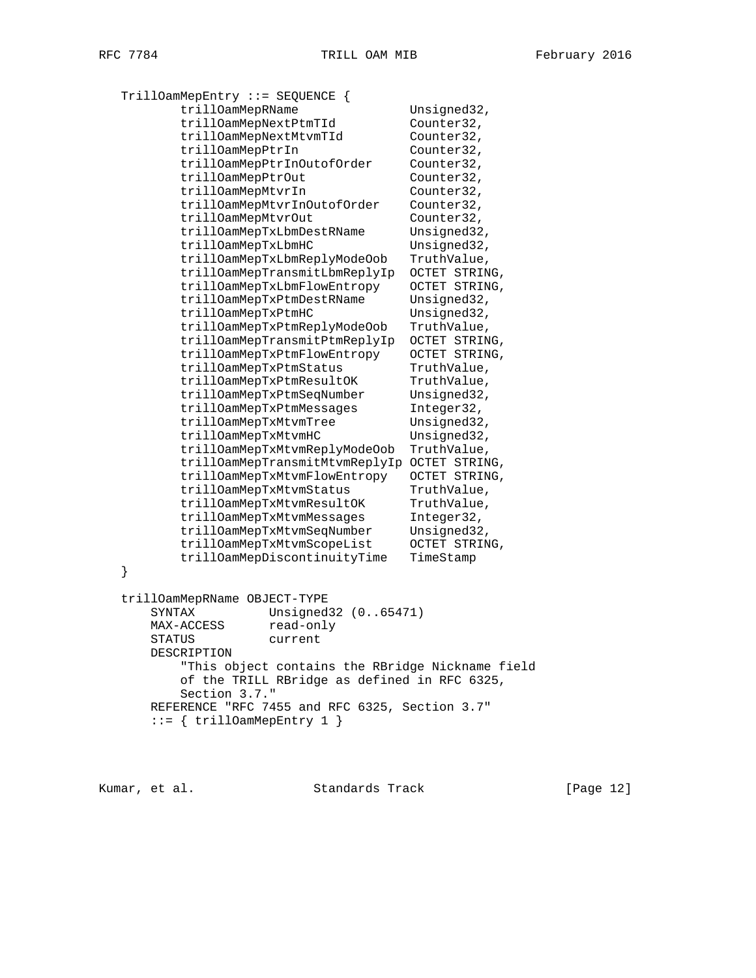```
 TrillOamMepEntry ::= SEQUENCE {
          trillOamMepRName Unsigned32,
           trillOamMepNextPtmTId Counter32,
          trillOamMepNextMtvmTId Counter32,<br>trillOamMepPtrIn Counter32,
          trillOamMepPtrIn
           trillOamMepPtrInOutofOrder Counter32,
          trillOamMepPtrOut Counter32,
           trillOamMepMtvrIn Counter32,
          trillOamMepMtvrInOutofOrder Counter32,
trillOamMepMtvrOut Counter32,
trillOamMepTxLbmDestRName Unsigned32,
trillOamMepTxLbmHC Unsigned32,
           trillOamMepTxLbmReplyModeOob TruthValue,
           trillOamMepTransmitLbmReplyIp OCTET STRING,
          trillOamMepTxLbmFlowEntropy OCTET STRING,
          trillOamMepTxPtmDestRName Unsigned32,
          trillOamMepTxPtmHC Unsigned32,
           trillOamMepTxPtmReplyModeOob TruthValue,
           trillOamMepTransmitPtmReplyIp OCTET STRING,
           trillOamMepTxPtmFlowEntropy OCTET STRING,
          trillOamMepTxPtmStatus TruthValue,
 trillOamMepTxPtmResultOK TruthValue,
trillOamMepTxPtmSeqNumber Unsigned32,
 trillOamMepTxPtmMessages Integer32,
trillOamMepTxMtvmTree Unsigned32,
          trillOamMepTxMtvmHC Unsigned32,
           trillOamMepTxMtvmReplyModeOob TruthValue,
           trillOamMepTransmitMtvmReplyIp OCTET STRING,
           trillOamMepTxMtvmFlowEntropy OCTET STRING,
          trillOamMepTxMtvmStatus TruthValue,<br>trillOamMepTxMtvmResultOK TruthValue,<br>Thteger32,
         trillOamMepTxMtvmResultOK TruthValue<br>trillOamMepTxMtvmMessages Integer32,
          trillOamMepTxMtvmMessages
trillOamMepTxMtvmSeqNumber Unsigned32,
 trillOamMepTxMtvmScopeList OCTET STRING,
          trillOamMepDiscontinuityTime TimeStamp
   }
   trillOamMepRName OBJECT-TYPE
       SYNTAX Unsigned32 (0..65471)
      MAX-ACCESS read-only
       STATUS current
       DESCRIPTION
           "This object contains the RBridge Nickname field
           of the TRILL RBridge as defined in RFC 6325,
          Section 3.7."
       REFERENCE "RFC 7455 and RFC 6325, Section 3.7"
      ::= { trillOamMepEntry 1 }
```
Kumar, et al. Standards Track [Page 12]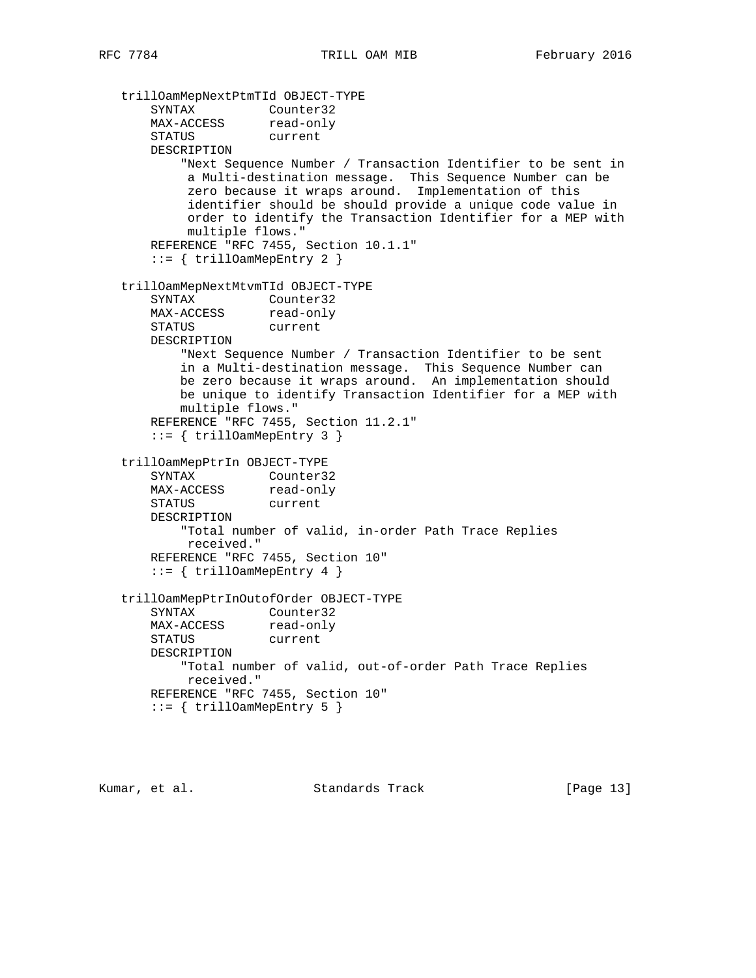trillOamMepNextPtmTId OBJECT-TYPE SYNTAX Counter32 MAX-ACCESS read-only STATUS current DESCRIPTION "Next Sequence Number / Transaction Identifier to be sent in a Multi-destination message. This Sequence Number can be zero because it wraps around. Implementation of this identifier should be should provide a unique code value in order to identify the Transaction Identifier for a MEP with multiple flows." REFERENCE "RFC 7455, Section 10.1.1" ::= { trillOamMepEntry 2 } trillOamMepNextMtvmTId OBJECT-TYPE SYNTAX Counter32 MAX-ACCESS read-only STATUS current DESCRIPTION "Next Sequence Number / Transaction Identifier to be sent in a Multi-destination message. This Sequence Number can be zero because it wraps around. An implementation should be unique to identify Transaction Identifier for a MEP with multiple flows." REFERENCE "RFC 7455, Section 11.2.1"  $::=$  { trillOamMepEntry 3 } trillOamMepPtrIn OBJECT-TYPE SYNTAX Counter32 MAX-ACCESS read-only STATUS current DESCRIPTION "Total number of valid, in-order Path Trace Replies received." REFERENCE "RFC 7455, Section 10" ::= { trillOamMepEntry 4 } trillOamMepPtrInOutofOrder OBJECT-TYPE SYNTAX Counter32 MAX-ACCESS read-only STATUS current DESCRIPTION "Total number of valid, out-of-order Path Trace Replies received." REFERENCE "RFC 7455, Section 10" ::= { trillOamMepEntry 5 }

Kumar, et al. Standards Track [Page 13]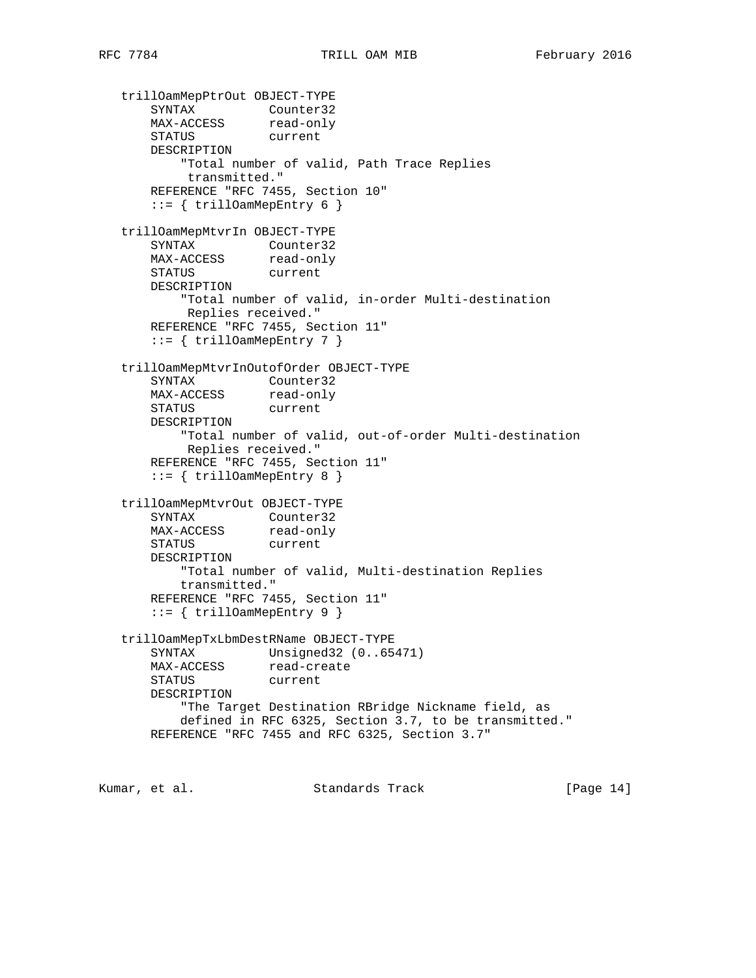```
 trillOamMepPtrOut OBJECT-TYPE
 SYNTAX Counter32
MAX-ACCESS read-only
 STATUS current
      DESCRIPTION
          "Total number of valid, Path Trace Replies
          transmitted."
      REFERENCE "RFC 7455, Section 10"
     ::= { trillOamMepEntry 6 }
   trillOamMepMtvrIn OBJECT-TYPE
 SYNTAX Counter32
MAX-ACCESS read-only
 STATUS current
      DESCRIPTION
          "Total number of valid, in-order Multi-destination
          Replies received."
      REFERENCE "RFC 7455, Section 11"
       ::= { trillOamMepEntry 7 }
   trillOamMepMtvrInOutofOrder OBJECT-TYPE
      SYNTAX Counter32
MAX-ACCESS read-only
 STATUS current
      DESCRIPTION
          "Total number of valid, out-of-order Multi-destination
          Replies received."
      REFERENCE "RFC 7455, Section 11"
      ::= { trillOamMepEntry 8 }
   trillOamMepMtvrOut OBJECT-TYPE
 SYNTAX Counter32
MAX-ACCESS read-only
 STATUS current
      DESCRIPTION
          "Total number of valid, Multi-destination Replies
          transmitted."
      REFERENCE "RFC 7455, Section 11"
       ::= { trillOamMepEntry 9 }
   trillOamMepTxLbmDestRName OBJECT-TYPE
     SYNTAX Unsigned32 (0..65471)
MAX-ACCESS read-create
 STATUS current
      DESCRIPTION
          "The Target Destination RBridge Nickname field, as
          defined in RFC 6325, Section 3.7, to be transmitted."
      REFERENCE "RFC 7455 and RFC 6325, Section 3.7"
```
Kumar, et al. Standards Track [Page 14]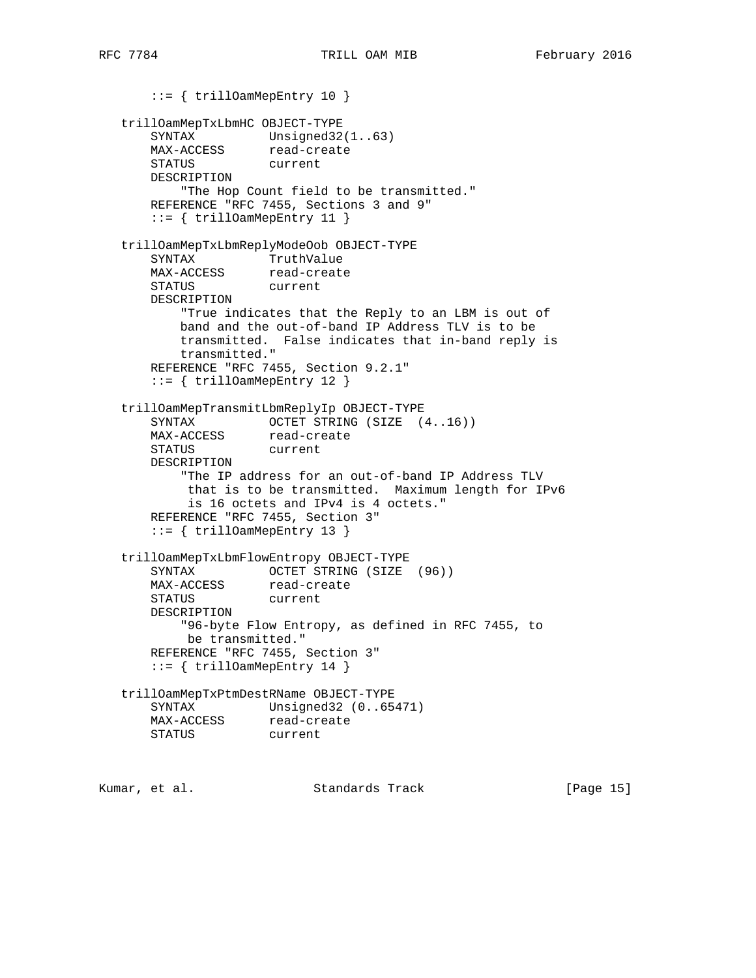::= { trillOamMepEntry 10 } trillOamMepTxLbmHC OBJECT-TYPE SYNTAX Unsigned32(1..63) MAX-ACCESS read-create SINIAA<br>MAX-ACCESS read-cr<br>STATUS current DESCRIPTION "The Hop Count field to be transmitted." REFERENCE "RFC 7455, Sections 3 and 9" ::= { trillOamMepEntry 11 } trillOamMepTxLbmReplyModeOob OBJECT-TYPE SYNTAX TruthValue MAX-ACCESS read-create STATUS current DESCRIPTION "True indicates that the Reply to an LBM is out of band and the out-of-band IP Address TLV is to be transmitted. False indicates that in-band reply is transmitted." REFERENCE "RFC 7455, Section 9.2.1" ::= { trillOamMepEntry 12 } trillOamMepTransmitLbmReplyIp OBJECT-TYPE SYNTAX OCTET STRING (SIZE (4..16)) MAX-ACCESS read-create STATUS current DESCRIPTION "The IP address for an out-of-band IP Address TLV that is to be transmitted. Maximum length for IPv6 is 16 octets and IPv4 is 4 octets." REFERENCE "RFC 7455, Section 3" ::= { trillOamMepEntry 13 } trillOamMepTxLbmFlowEntropy OBJECT-TYPE SYNTAX OCTET STRING (SIZE (96)) MAX-ACCESS read-create STATUS current DESCRIPTION "96-byte Flow Entropy, as defined in RFC 7455, to be transmitted." REFERENCE "RFC 7455, Section 3" ::= { trillOamMepEntry 14 } trillOamMepTxPtmDestRName OBJECT-TYPE SYNTAX Unsigned32 (0..65471) MAX-ACCESS read-create STATUS current

Kumar, et al. Standards Track [Page 15]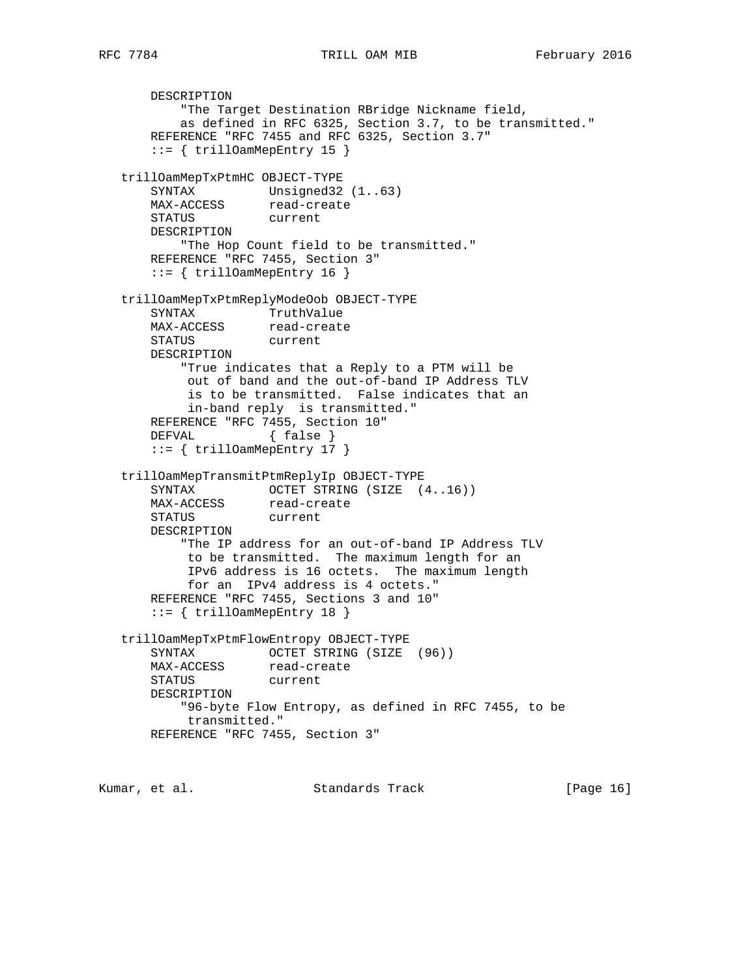DESCRIPTION "The Target Destination RBridge Nickname field, as defined in RFC 6325, Section 3.7, to be transmitted." REFERENCE "RFC 7455 and RFC 6325, Section 3.7" ::= { trillOamMepEntry 15 } trillOamMepTxPtmHC OBJECT-TYPE SYNTAX Unsigned32 (1..63) MAX-ACCESS read-create STATUS current DESCRIPTION "The Hop Count field to be transmitted." REFERENCE "RFC 7455, Section 3"  $::=$  { trillOamMepEntry 16 } trillOamMepTxPtmReplyModeOob OBJECT-TYPE SYNTAX TruthValue MAX-ACCESS read-create STATUS current DESCRIPTION "True indicates that a Reply to a PTM will be out of band and the out-of-band IP Address TLV is to be transmitted. False indicates that an in-band reply is transmitted." REFERENCE "RFC 7455, Section 10" DEFVAL { false } ::= { trillOamMepEntry 17 } trillOamMepTransmitPtmReplyIp OBJECT-TYPE SYNTAX OCTET STRING (SIZE (4..16)) MAX-ACCESS read-create STATUS current DESCRIPTION "The IP address for an out-of-band IP Address TLV to be transmitted. The maximum length for an IPv6 address is 16 octets. The maximum length for an IPv4 address is 4 octets." REFERENCE "RFC 7455, Sections 3 and 10" ::= { trillOamMepEntry 18 } trillOamMepTxPtmFlowEntropy OBJECT-TYPE SYNTAX OCTET STRING (SIZE (96)) MAX-ACCESS read-create STATUS current DESCRIPTION "96-byte Flow Entropy, as defined in RFC 7455, to be transmitted." REFERENCE "RFC 7455, Section 3"

Kumar, et al. Standards Track [Page 16]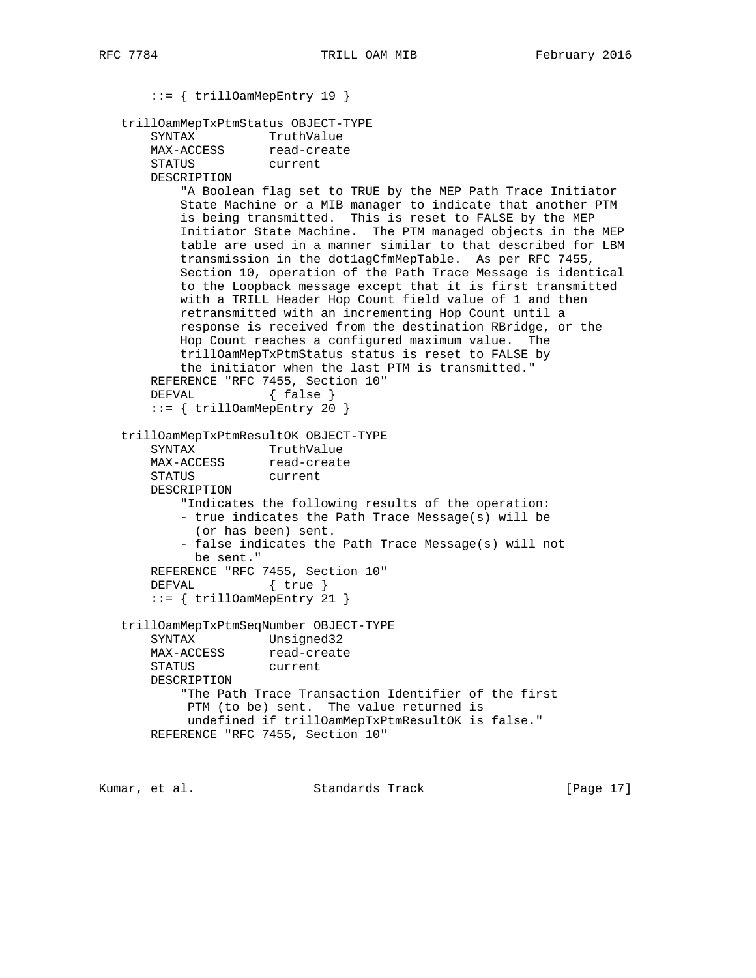::= { trillOamMepEntry 19 } trillOamMepTxPtmStatus OBJECT-TYPE SYNTAX TruthValue MAX-ACCESS read-create STATUS current DESCRIPTION "A Boolean flag set to TRUE by the MEP Path Trace Initiator State Machine or a MIB manager to indicate that another PTM is being transmitted. This is reset to FALSE by the MEP Initiator State Machine. The PTM managed objects in the MEP table are used in a manner similar to that described for LBM transmission in the dot1agCfmMepTable. As per RFC 7455, Section 10, operation of the Path Trace Message is identical to the Loopback message except that it is first transmitted with a TRILL Header Hop Count field value of 1 and then retransmitted with an incrementing Hop Count until a response is received from the destination RBridge, or the Hop Count reaches a configured maximum value. The trillOamMepTxPtmStatus status is reset to FALSE by the initiator when the last PTM is transmitted." REFERENCE "RFC 7455, Section 10" DEFVAL { false } ::= { trillOamMepEntry 20 } trillOamMepTxPtmResultOK OBJECT-TYPE SYNTAX TruthValue MAX-ACCESS read-create STATUS current DESCRIPTION "Indicates the following results of the operation: - true indicates the Path Trace Message(s) will be (or has been) sent. - false indicates the Path Trace Message(s) will not be sent." REFERENCE "RFC 7455, Section 10"<br>DEFVAL { true }  $\{true\}$  ::= { trillOamMepEntry 21 } trillOamMepTxPtmSeqNumber OBJECT-TYPE SYNTAX Unsigned32 MAX-ACCESS read-create STATUS current DESCRIPTION "The Path Trace Transaction Identifier of the first PTM (to be) sent. The value returned is undefined if trillOamMepTxPtmResultOK is false." REFERENCE "RFC 7455, Section 10"

Kumar, et al. Standards Track [Page 17]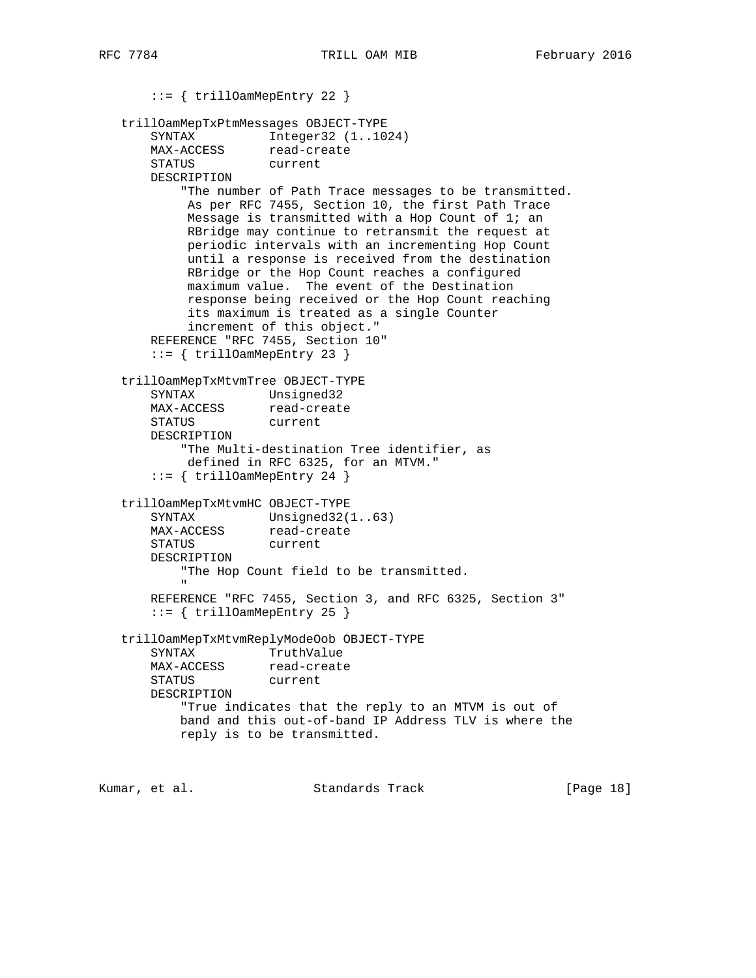::= { trillOamMepEntry 22 } trillOamMepTxPtmMessages OBJECT-TYPE SYNTAX Integer32 (1..1024) MAX-ACCESS read-create STATUS current DESCRIPTION "The number of Path Trace messages to be transmitted. As per RFC 7455, Section 10, the first Path Trace Message is transmitted with a Hop Count of 1; an RBridge may continue to retransmit the request at periodic intervals with an incrementing Hop Count until a response is received from the destination RBridge or the Hop Count reaches a configured maximum value. The event of the Destination response being received or the Hop Count reaching its maximum is treated as a single Counter increment of this object." REFERENCE "RFC 7455, Section 10" ::= { trillOamMepEntry 23 } trillOamMepTxMtvmTree OBJECT-TYPE SYNTAX Unsigned32 MAX-ACCESS read-create<br>STATUS current STATUS DESCRIPTION "The Multi-destination Tree identifier, as defined in RFC 6325, for an MTVM." ::= { trillOamMepEntry 24 } trillOamMepTxMtvmHC OBJECT-TYPE SYNTAX Unsigned32(1..63) MAX-ACCESS read-create STATUS current DESCRIPTION "The Hop Count field to be transmitted. " REFERENCE "RFC 7455, Section 3, and RFC 6325, Section 3" ::= { trillOamMepEntry 25 } trillOamMepTxMtvmReplyModeOob OBJECT-TYPE SYNTAX TruthValue MAX-ACCESS read-create STATUS current DESCRIPTION "True indicates that the reply to an MTVM is out of band and this out-of-band IP Address TLV is where the reply is to be transmitted.

Kumar, et al. Standards Track [Page 18]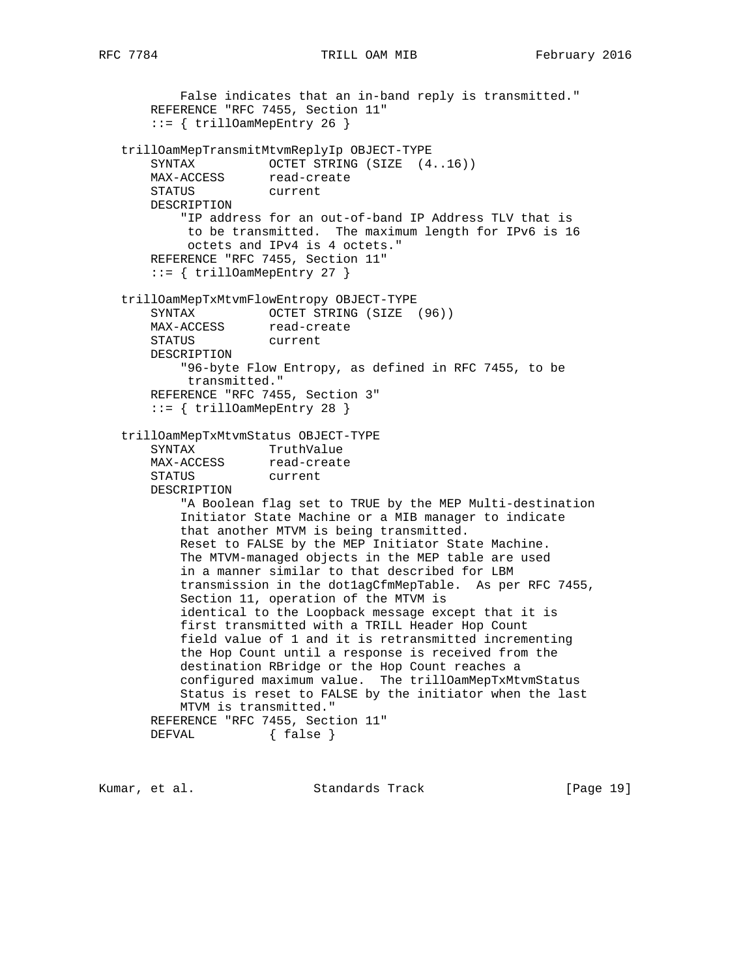## RFC 7784 TRILL OAM MIB February 2016

```
 False indicates that an in-band reply is transmitted."
       REFERENCE "RFC 7455, Section 11"
       ::= { trillOamMepEntry 26 }
   trillOamMepTransmitMtvmReplyIp OBJECT-TYPE
      SYNTAX OCTET STRING (SIZE (4..16))
      MAX-ACCESS read-create
       STATUS current
       DESCRIPTION
           "IP address for an out-of-band IP Address TLV that is
           to be transmitted. The maximum length for IPv6 is 16
           octets and IPv4 is 4 octets."
       REFERENCE "RFC 7455, Section 11"
       ::= { trillOamMepEntry 27 }
   trillOamMepTxMtvmFlowEntropy OBJECT-TYPE
      SYNTAX OCTET STRING (SIZE (96))
MAX-ACCESS read-create
 STATUS current
       DESCRIPTION
           "96-byte Flow Entropy, as defined in RFC 7455, to be
           transmitted."
       REFERENCE "RFC 7455, Section 3"
       ::= { trillOamMepEntry 28 }
   trillOamMepTxMtvmStatus OBJECT-TYPE
 SYNTAX TruthValue
MAX-ACCESS read-create
       STATUS current
       DESCRIPTION
           "A Boolean flag set to TRUE by the MEP Multi-destination
           Initiator State Machine or a MIB manager to indicate
           that another MTVM is being transmitted.
           Reset to FALSE by the MEP Initiator State Machine.
           The MTVM-managed objects in the MEP table are used
           in a manner similar to that described for LBM
           transmission in the dot1agCfmMepTable. As per RFC 7455,
           Section 11, operation of the MTVM is
           identical to the Loopback message except that it is
           first transmitted with a TRILL Header Hop Count
           field value of 1 and it is retransmitted incrementing
           the Hop Count until a response is received from the
           destination RBridge or the Hop Count reaches a
           configured maximum value. The trillOamMepTxMtvmStatus
           Status is reset to FALSE by the initiator when the last
           MTVM is transmitted."
       REFERENCE "RFC 7455, Section 11"
      DEFVAL { false }
```
Kumar, et al. Standards Track [Page 19]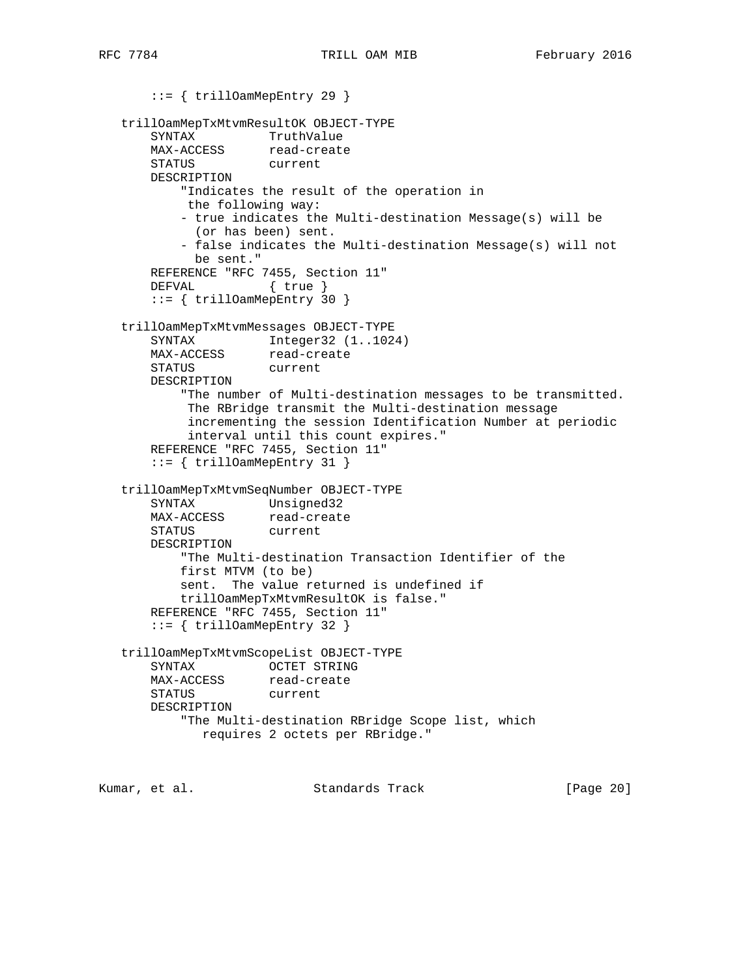```
 ::= { trillOamMepEntry 29 }
   trillOamMepTxMtvmResultOK OBJECT-TYPE
SYNTAX TruthValue
MAX-ACCESS read-create
       STATUS current
       DESCRIPTION
           "Indicates the result of the operation in
           the following way:
           - true indicates the Multi-destination Message(s) will be
            (or has been) sent.
           - false indicates the Multi-destination Message(s) will not
            be sent."
       REFERENCE "RFC 7455, Section 11"
       DEFVAL { true }
       ::= { trillOamMepEntry 30 }
   trillOamMepTxMtvmMessages OBJECT-TYPE
      SYNTAX Integer32 (1..1024)
MAX-ACCESS read-create
 STATUS current
       DESCRIPTION
           "The number of Multi-destination messages to be transmitted.
            The RBridge transmit the Multi-destination message
            incrementing the session Identification Number at periodic
            interval until this count expires."
       REFERENCE "RFC 7455, Section 11"
       ::= { trillOamMepEntry 31 }
   trillOamMepTxMtvmSeqNumber OBJECT-TYPE
 SYNTAX Unsigned32
MAX-ACCESS read-create
 STATUS current
       DESCRIPTION
           "The Multi-destination Transaction Identifier of the
           first MTVM (to be)
           sent. The value returned is undefined if
           trillOamMepTxMtvmResultOK is false."
       REFERENCE "RFC 7455, Section 11"
       ::= { trillOamMepEntry 32 }
   trillOamMepTxMtvmScopeList OBJECT-TYPE
       SYNTAX OCTET STRING
MAX-ACCESS read-create
 STATUS current
       DESCRIPTION
           "The Multi-destination RBridge Scope list, which
             requires 2 octets per RBridge."
Kumar, et al.                     Standards Track                     [Page 20]
```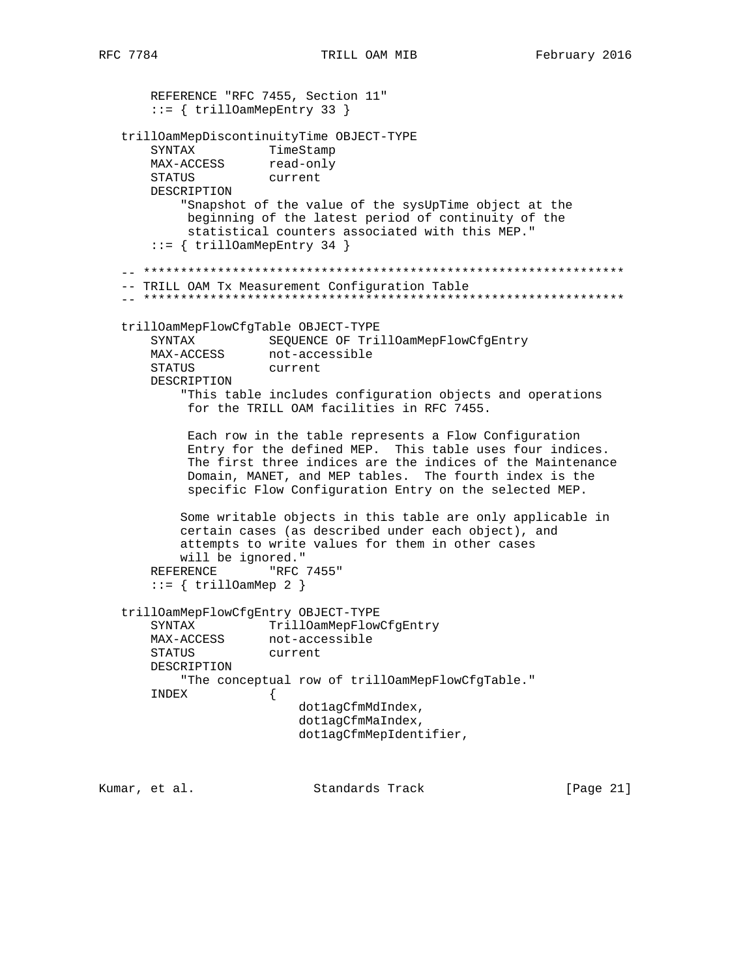REFERENCE "RFC 7455, Section 11" ::= { trillOamMepEntry 33 } trillOamMepDiscontinuityTime OBJECT-TYPE SYNTAX TimeStamp MAX-ACCESS read-only STATUS current DESCRIPTION "Snapshot of the value of the sysUpTime object at the beginning of the latest period of continuity of the statistical counters associated with this MEP." ::= { trillOamMepEntry 34 } -- \*\*\*\*\*\*\*\*\*\*\*\*\*\*\*\*\*\*\*\*\*\*\*\*\*\*\*\*\*\*\*\*\*\*\*\*\*\*\*\*\*\*\*\*\*\*\*\*\*\*\*\*\*\*\*\*\*\*\*\*\*\*\*\*\* -- TRILL OAM Tx Measurement Configuration Table -- \*\*\*\*\*\*\*\*\*\*\*\*\*\*\*\*\*\*\*\*\*\*\*\*\*\*\*\*\*\*\*\*\*\*\*\*\*\*\*\*\*\*\*\*\*\*\*\*\*\*\*\*\*\*\*\*\*\*\*\*\*\*\*\*\* trillOamMepFlowCfgTable OBJECT-TYPE SYNTAX SEQUENCE OF TrillOamMepFlowCfgEntry MAX-ACCESS not-accessible STATUS current DESCRIPTION "This table includes configuration objects and operations for the TRILL OAM facilities in RFC 7455. Each row in the table represents a Flow Configuration Entry for the defined MEP. This table uses four indices. The first three indices are the indices of the Maintenance Domain, MANET, and MEP tables. The fourth index is the specific Flow Configuration Entry on the selected MEP. Some writable objects in this table are only applicable in certain cases (as described under each object), and attempts to write values for them in other cases will be ignored." REFERENCE "RFC 7455"  $::= \{ \text{trilloamMep 2 } \}$  trillOamMepFlowCfgEntry OBJECT-TYPE SYNTAX TrillOamMepFlowCfgEntry MAX-ACCESS not-accessible STATUS current DESCRIPTION "The conceptual row of trillOamMepFlowCfgTable." INDEX { dot1agCfmMdIndex, dot1agCfmMaIndex, dot1agCfmMepIdentifier,

Kumar, et al. Standards Track [Page 21]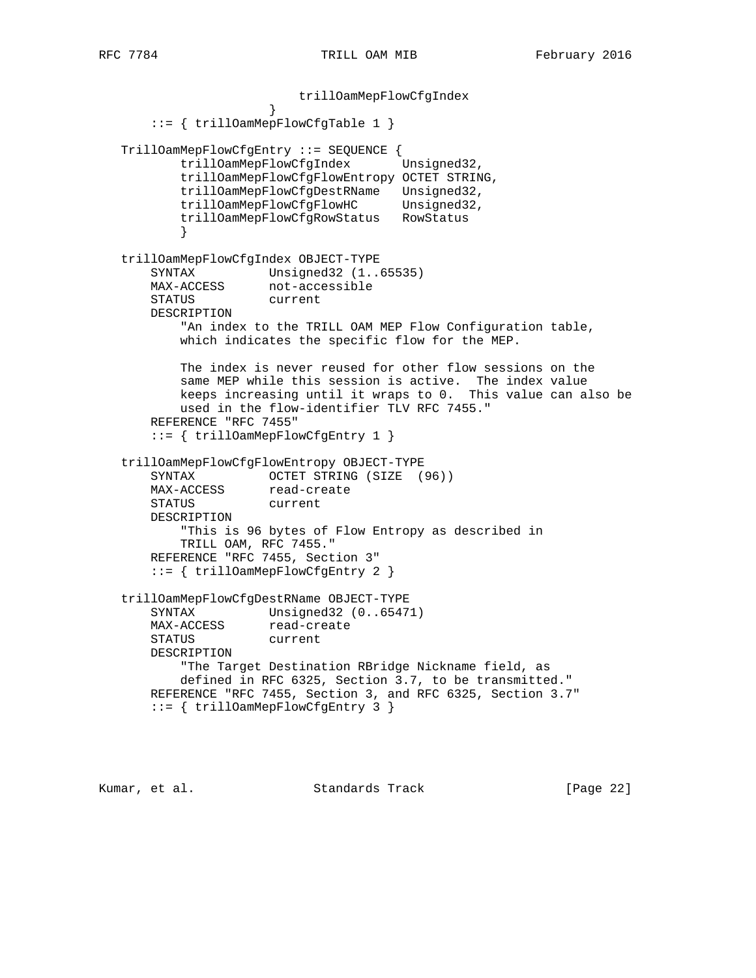trillOamMepFlowCfgIndex } ::= { trillOamMepFlowCfgTable 1 } TrillOamMepFlowCfgEntry ::= SEQUENCE { trillOamMepFlowCfgIndex Unsigned32, trillOamMepFlowCfgFlowEntropy OCTET STRING, trillOamMepFlowCfgDestRName Unsigned32, trillOamMepFlowCfgFlowHC Unsigned32, trillOamMepFlowCfgRowStatus RowStatus } trillOamMepFlowCfgIndex OBJECT-TYPE SYNTAX Unsigned32 (1..65535) MAX-ACCESS not-accessible STATUS current DESCRIPTION "An index to the TRILL OAM MEP Flow Configuration table, which indicates the specific flow for the MEP. The index is never reused for other flow sessions on the same MEP while this session is active. The index value keeps increasing until it wraps to 0. This value can also be used in the flow-identifier TLV RFC 7455." REFERENCE "RFC 7455" ::= { trillOamMepFlowCfgEntry 1 } trillOamMepFlowCfgFlowEntropy OBJECT-TYPE SYNTAX OCTET STRING (SIZE (96)) MAX-ACCESS read-create STATUS current DESCRIPTION "This is 96 bytes of Flow Entropy as described in TRILL OAM, RFC 7455." REFERENCE "RFC 7455, Section 3" ::= { trillOamMepFlowCfgEntry 2 } trillOamMepFlowCfgDestRName OBJECT-TYPE SYNTAX Unsigned32 (0..65471) MAX-ACCESS read-create STATUS current DESCRIPTION "The Target Destination RBridge Nickname field, as defined in RFC 6325, Section 3.7, to be transmitted." REFERENCE "RFC 7455, Section 3, and RFC 6325, Section 3.7" ::= { trillOamMepFlowCfgEntry 3 }

Kumar, et al. Standards Track [Page 22]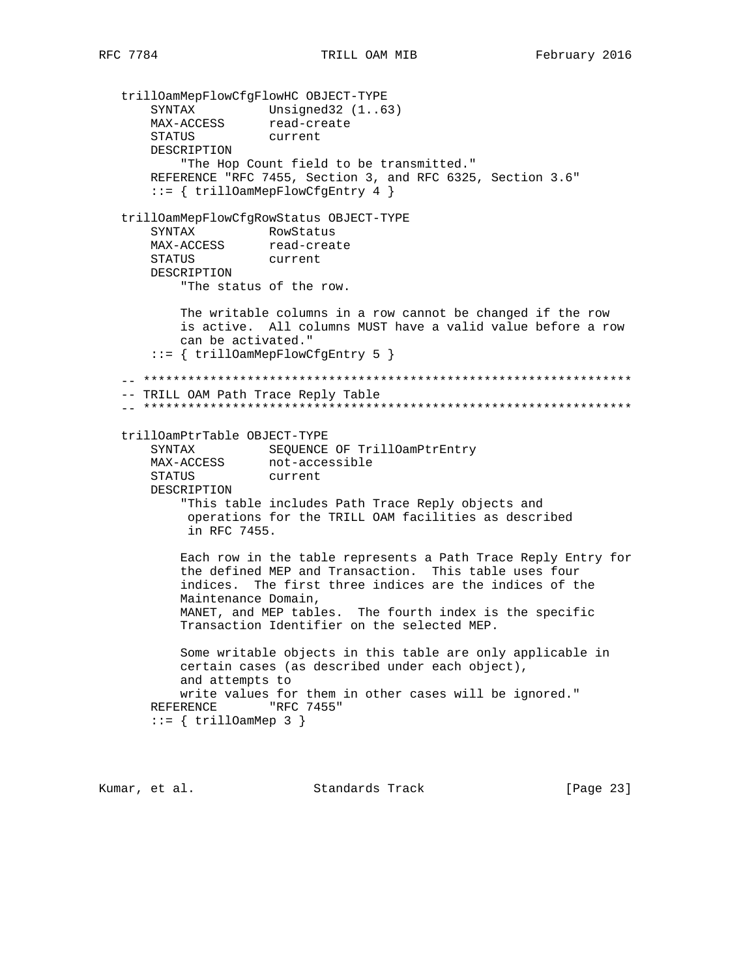trillOamMepFlowCfgFlowHC OBJECT-TYPE SYNTAX Unsigned32 (1..63) MAX-ACCESS read-create STATUS current DESCRIPTION "The Hop Count field to be transmitted." REFERENCE "RFC 7455, Section 3, and RFC 6325, Section 3.6" ::= { trillOamMepFlowCfgEntry 4 } trillOamMepFlowCfgRowStatus OBJECT-TYPE SYNTAX RowStatus<br>MAX-ACCESS read-create MAX-ACCESS read-create STATUS current DESCRIPTION "The status of the row. The writable columns in a row cannot be changed if the row is active. All columns MUST have a valid value before a row can be activated." ::= { trillOamMepFlowCfgEntry 5 } -- \*\*\*\*\*\*\*\*\*\*\*\*\*\*\*\*\*\*\*\*\*\*\*\*\*\*\*\*\*\*\*\*\*\*\*\*\*\*\*\*\*\*\*\*\*\*\*\*\*\*\*\*\*\*\*\*\*\*\*\*\*\*\*\*\*\* -- TRILL OAM Path Trace Reply Table -- \*\*\*\*\*\*\*\*\*\*\*\*\*\*\*\*\*\*\*\*\*\*\*\*\*\*\*\*\*\*\*\*\*\*\*\*\*\*\*\*\*\*\*\*\*\*\*\*\*\*\*\*\*\*\*\*\*\*\*\*\*\*\*\*\*\* trillOamPtrTable OBJECT-TYPE SYNTAX SEQUENCE OF TrillOamPtrEntry MAX-ACCESS not-accessible STATUS current DESCRIPTION "This table includes Path Trace Reply objects and operations for the TRILL OAM facilities as described in RFC 7455. Each row in the table represents a Path Trace Reply Entry for the defined MEP and Transaction. This table uses four indices. The first three indices are the indices of the Maintenance Domain, MANET, and MEP tables. The fourth index is the specific Transaction Identifier on the selected MEP. Some writable objects in this table are only applicable in certain cases (as described under each object), and attempts to write values for them in other cases will be ignored." REFERENCE "RFC 7455"  $::=$  { trillOamMep 3 }

Kumar, et al. Standards Track [Page 23]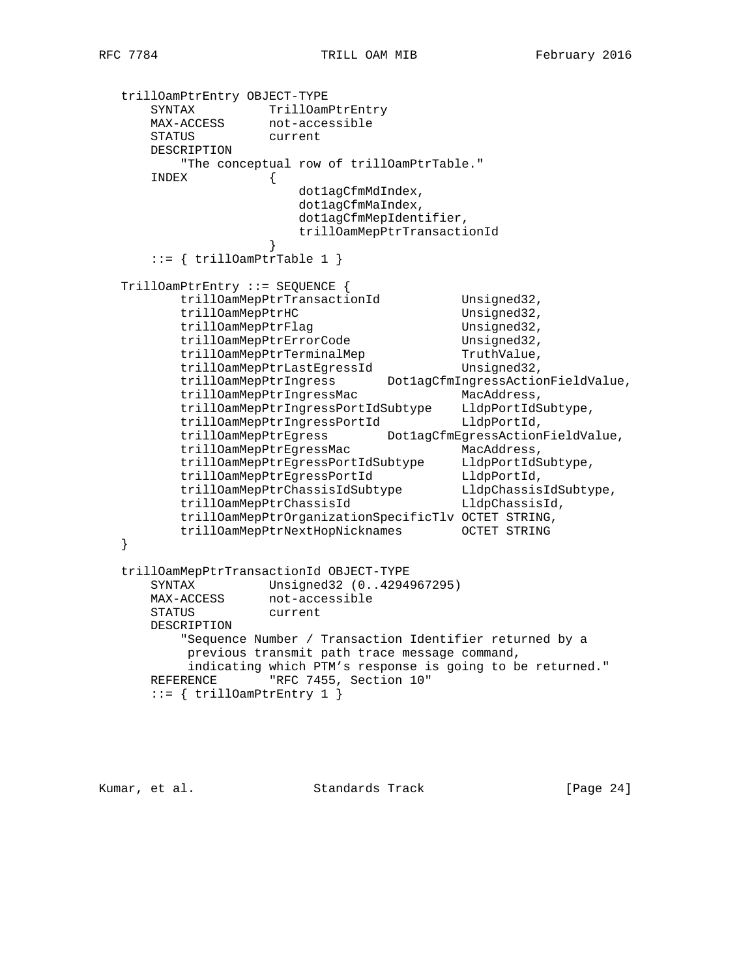```
 trillOamPtrEntry OBJECT-TYPE
      SYNTAX TrillOamPtrEntry
      MAX-ACCESS not-accessible
      STATUS current
      DESCRIPTION
          "The conceptual row of trillOamPtrTable."
      INDEX {
                       dot1agCfmMdIndex,
                       dot1agCfmMaIndex,
                       dot1agCfmMepIdentifier,
                       trillOamMepPtrTransactionId
 }
     ::= \{ \text{trilloamPtrTable 1} \} TrillOamPtrEntry ::= SEQUENCE {
         trillOamMepPtrTransactionId Unsigned32,
         trillOamMepPtrHC Unsigned32,
         trillOamMepPtrFlag Unsigned32,
         trillOamMepPtrErrorCode Unsigned32,
         trillOamMepPtrTerminalMep TruthValue,
         trillOamMepPtrLastEgressId    Unsigned32,
          trillOamMepPtrIngress Dot1agCfmIngressActionFieldValue,
         trillOamMepPtrIngressMac MacAddress,
 trillOamMepPtrIngressPortIdSubtype LldpPortIdSubtype,
trillOamMepPtrIngressPortId LldpPortId,
          trillOamMepPtrEgress Dot1agCfmEgressActionFieldValue,
         trillOamMepPtrEgressMac MacAddress,
          trillOamMepPtrEgressPortIdSubtype LldpPortIdSubtype,
trillOamMepPtrEgressPortId LldpPortId,
 trillOamMepPtrChassisIdSubtype LldpChassisIdSubtype,
 trillOamMepPtrChassisId LldpChassisId,
          trillOamMepPtrOrganizationSpecificTlv OCTET STRING,
          trillOamMepPtrNextHopNicknames OCTET STRING
   }
   trillOamMepPtrTransactionId OBJECT-TYPE
      SYNTAX Unsigned32 (0..4294967295)
 MAX-ACCESS not-accessible
 STATUS current
      DESCRIPTION
          "Sequence Number / Transaction Identifier returned by a
          previous transmit path trace message command,
          indicating which PTM's response is going to be returned."
     REFERENCE "RFC 7455, Section 10"
     ::= { trillOamPtrEntry 1 }
```
Kumar, et al. Standards Track [Page 24]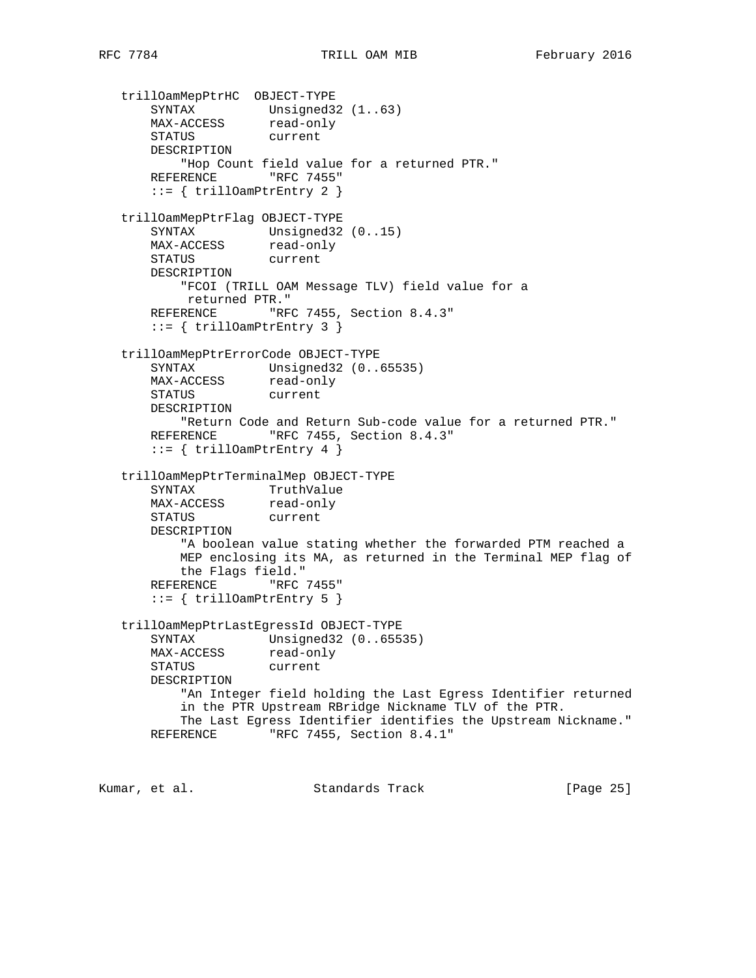```
 trillOamMepPtrHC OBJECT-TYPE
 SYNTAX Unsigned32 (1..63)
MAX-ACCESS read-only
      STATUS current
      DESCRIPTION
          "Hop Count field value for a returned PTR."
     REFERENCE "RFC 7455"
      ::= { trillOamPtrEntry 2 }
   trillOamMepPtrFlag OBJECT-TYPE
SYNTAX Unsigned32 (0..15)
MAX-ACCESS read-only
      STATUS current
      DESCRIPTION
          "FCOI (TRILL OAM Message TLV) field value for a
          returned PTR."
     REFERENCE "RFC 7455, Section 8.4.3"
      ::= { trillOamPtrEntry 3 }
   trillOamMepPtrErrorCode OBJECT-TYPE
      SYNTAX Unsigned32 (0..65535)
MAX-ACCESS read-only
 STATUS current
      DESCRIPTION
          "Return Code and Return Sub-code value for a returned PTR."
     REFERENCE "RFC 7455, Section 8.4.3"
      ::= { trillOamPtrEntry 4 }
   trillOamMepPtrTerminalMep OBJECT-TYPE
      SYNTAX TruthValue
MAX-ACCESS read-only
 STATUS current
      DESCRIPTION
          "A boolean value stating whether the forwarded PTM reached a
          MEP enclosing its MA, as returned in the Terminal MEP flag of
          the Flags field."
     REFERENCE "RFC 7455"
      ::= { trillOamPtrEntry 5 }
   trillOamMepPtrLastEgressId OBJECT-TYPE
      SYNTAX Unsigned32 (0..65535)
MAX-ACCESS read-only
 STATUS current
      DESCRIPTION
          "An Integer field holding the Last Egress Identifier returned
          in the PTR Upstream RBridge Nickname TLV of the PTR.
          The Last Egress Identifier identifies the Upstream Nickname."
     REFERENCE "RFC 7455, Section 8.4.1"
```
Kumar, et al. Standards Track [Page 25]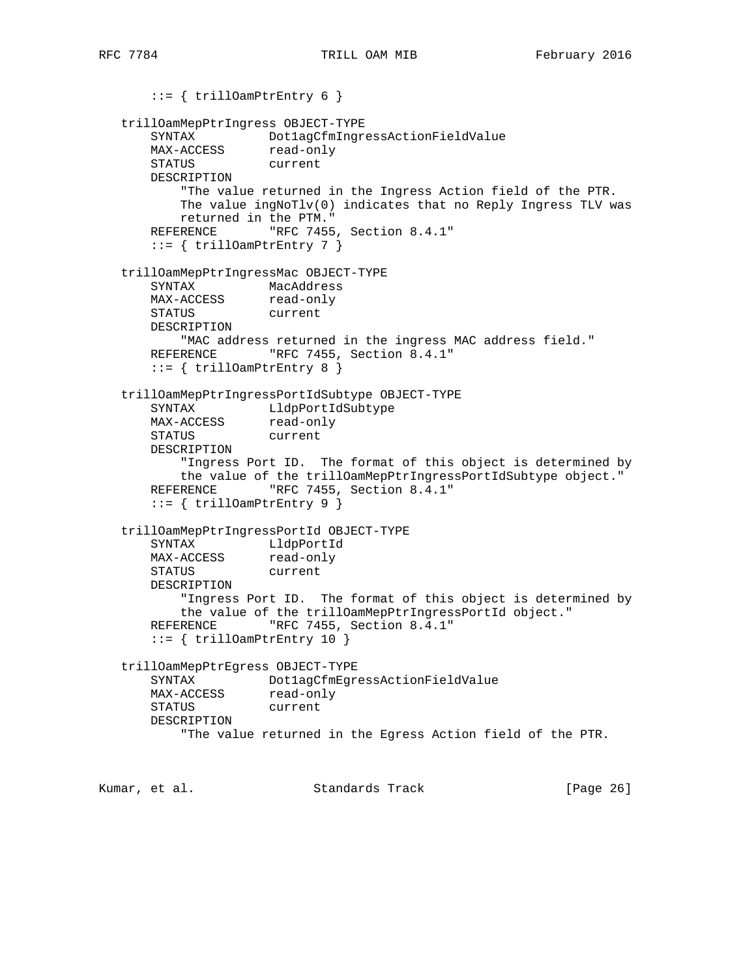::= { trillOamPtrEntry 6 } trillOamMepPtrIngress OBJECT-TYPE SYNTAX Dot1agCfmIngressActionFieldValue MAX-ACCESS read-only STATUS current DESCRIPTION "The value returned in the Ingress Action field of the PTR. The value ingNoTlv(0) indicates that no Reply Ingress TLV was returned in the PTM." REFERENCE "RFC 7455, Section 8.4.1"  $::=$  { trillOamPtrEntry 7 } trillOamMepPtrIngressMac OBJECT-TYPE SYNTAX MacAddress MAX-ACCESS read-only STATUS current DESCRIPTION "MAC address returned in the ingress MAC address field." REFERENCE "RFC 7455, Section 8.4.1" ::= { trillOamPtrEntry 8 } trillOamMepPtrIngressPortIdSubtype OBJECT-TYPE SYNTAX LldpPortIdSubtype MAX-ACCESS read-only STATUS current DESCRIPTION "Ingress Port ID. The format of this object is determined by the value of the trillOamMepPtrIngressPortIdSubtype object." REFERENCE "RFC 7455, Section 8.4.1" ::= { trillOamPtrEntry 9 } trillOamMepPtrIngressPortId OBJECT-TYPE SYNTAX LldpPortId MAX-ACCESS read-only STATUS current DESCRIPTION "Ingress Port ID. The format of this object is determined by the value of the trillOamMepPtrIngressPortId object." REFERENCE "RFC 7455, Section 8.4.1" ::= { trillOamPtrEntry 10 } trillOamMepPtrEgress OBJECT-TYPE SYNTAX Dot1agCfmEgressActionFieldValue MAX-ACCESS read-only STATUS current DESCRIPTION "The value returned in the Egress Action field of the PTR. Kumar, et al. Standards Track [Page 26]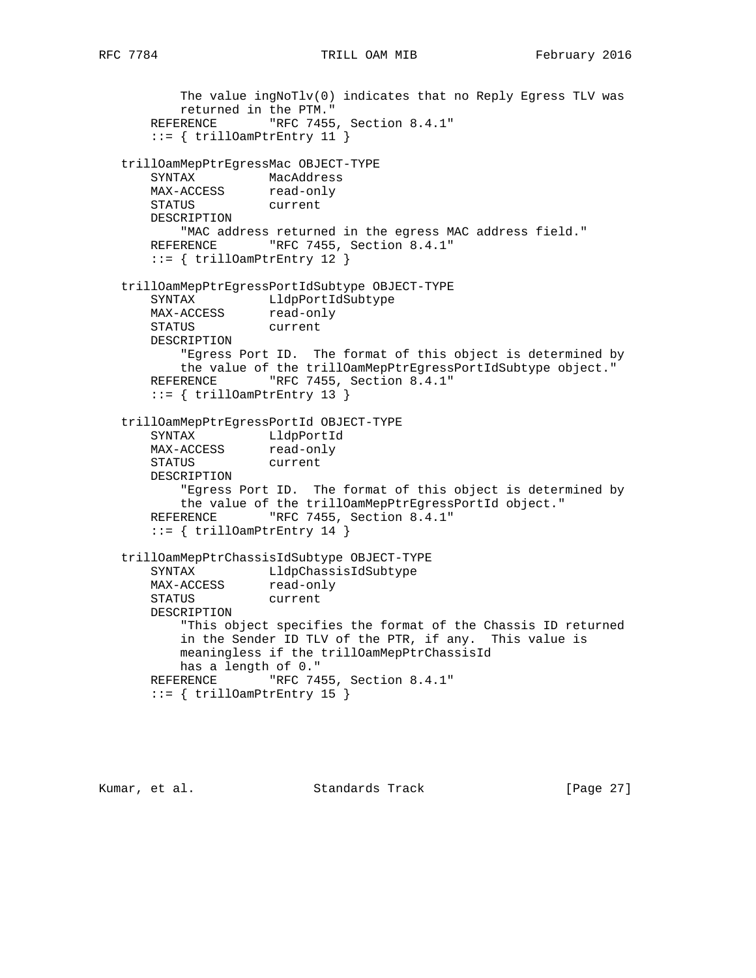```
 The value ingNoTlv(0) indicates that no Reply Egress TLV was
          returned in the PTM."
     REFERENCE "RFC 7455, Section 8.4.1"
      ::= { trillOamPtrEntry 11 }
   trillOamMepPtrEgressMac OBJECT-TYPE
 SYNTAX MacAddress
MAX-ACCESS read-only
 STATUS current
      DESCRIPTION
          "MAC address returned in the egress MAC address field."
     REFERENCE "RFC 7455, Section 8.4.1"
      ::= { trillOamPtrEntry 12 }
   trillOamMepPtrEgressPortIdSubtype OBJECT-TYPE
 SYNTAX LldpPortIdSubtype
MAX-ACCESS read-only
 STATUS current
      DESCRIPTION
          "Egress Port ID. The format of this object is determined by
          the value of the trillOamMepPtrEgressPortIdSubtype object."
     REFERENCE "RFC 7455, Section 8.4.1"
       ::= { trillOamPtrEntry 13 }
   trillOamMepPtrEgressPortId OBJECT-TYPE
 SYNTAX LldpPortId
MAX-ACCESS read-only
 STATUS current
      DESCRIPTION
          "Egress Port ID. The format of this object is determined by
          the value of the trillOamMepPtrEgressPortId object."
     REFERENCE "RFC 7455, Section 8.4.1"
      ::= { trillOamPtrEntry 14 }
   trillOamMepPtrChassisIdSubtype OBJECT-TYPE
      SYNTAX LldpChassisIdSubtype
MAX-ACCESS read-only
 STATUS current
      DESCRIPTION
          "This object specifies the format of the Chassis ID returned
          in the Sender ID TLV of the PTR, if any. This value is
          meaningless if the trillOamMepPtrChassisId
          has a length of 0."
     REFERENCE "RFC 7455, Section 8.4.1"
       ::= { trillOamPtrEntry 15 }
```
Kumar, et al. Standards Track [Page 27]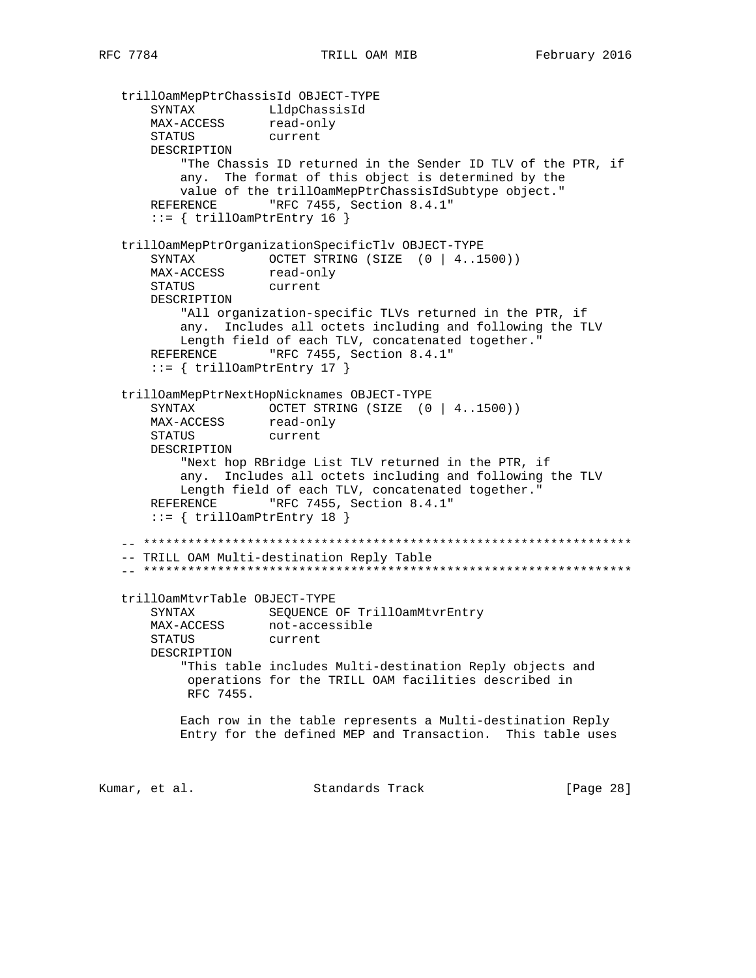trillOamMepPtrChassisId OBJECT-TYPE SYNTAX LldpChassisId MAX-ACCESS read-only STATUS current DESCRIPTION "The Chassis ID returned in the Sender ID TLV of the PTR, if any. The format of this object is determined by the value of the trillOamMepPtrChassisIdSubtype object." REFERENCE "RFC 7455, Section 8.4.1" ::= { trillOamPtrEntry 16 } trillOamMepPtrOrganizationSpecificTlv OBJECT-TYPE SYNTAX OCTET STRING (SIZE (0 | 4..1500)) MAX-ACCESS read-only STATUS current DESCRIPTION "All organization-specific TLVs returned in the PTR, if any. Includes all octets including and following the TLV Length field of each TLV, concatenated together." REFERENCE "RFC 7455, Section 8.4.1"  $::=$  { trillOamPtrEntry 17 } trillOamMepPtrNextHopNicknames OBJECT-TYPE SYNTAX OCTET STRING (SIZE (0 | 4..1500)) MAX-ACCESS read-only STATUS current DESCRIPTION "Next hop RBridge List TLV returned in the PTR, if any. Includes all octets including and following the TLV Length field of each TLV, concatenated together." REFERENCE "RFC 7455, Section 8.4.1"  $::=$  { trillOamPtrEntry 18 } -- \*\*\*\*\*\*\*\*\*\*\*\*\*\*\*\*\*\*\*\*\*\*\*\*\*\*\*\*\*\*\*\*\*\*\*\*\*\*\*\*\*\*\*\*\*\*\*\*\*\*\*\*\*\*\*\*\*\*\*\*\*\*\*\*\*\* -- TRILL OAM Multi-destination Reply Table -- \*\*\*\*\*\*\*\*\*\*\*\*\*\*\*\*\*\*\*\*\*\*\*\*\*\*\*\*\*\*\*\*\*\*\*\*\*\*\*\*\*\*\*\*\*\*\*\*\*\*\*\*\*\*\*\*\*\*\*\*\*\*\*\*\*\* trillOamMtvrTable OBJECT-TYPE SYNTAX SEQUENCE OF TrillOamMtvrEntry<br>MAX-ACCESS not-accessible not-accessible STATUS current DESCRIPTION "This table includes Multi-destination Reply objects and operations for the TRILL OAM facilities described in RFC 7455. Each row in the table represents a Multi-destination Reply Entry for the defined MEP and Transaction. This table uses Kumar, et al. Standards Track [Page 28]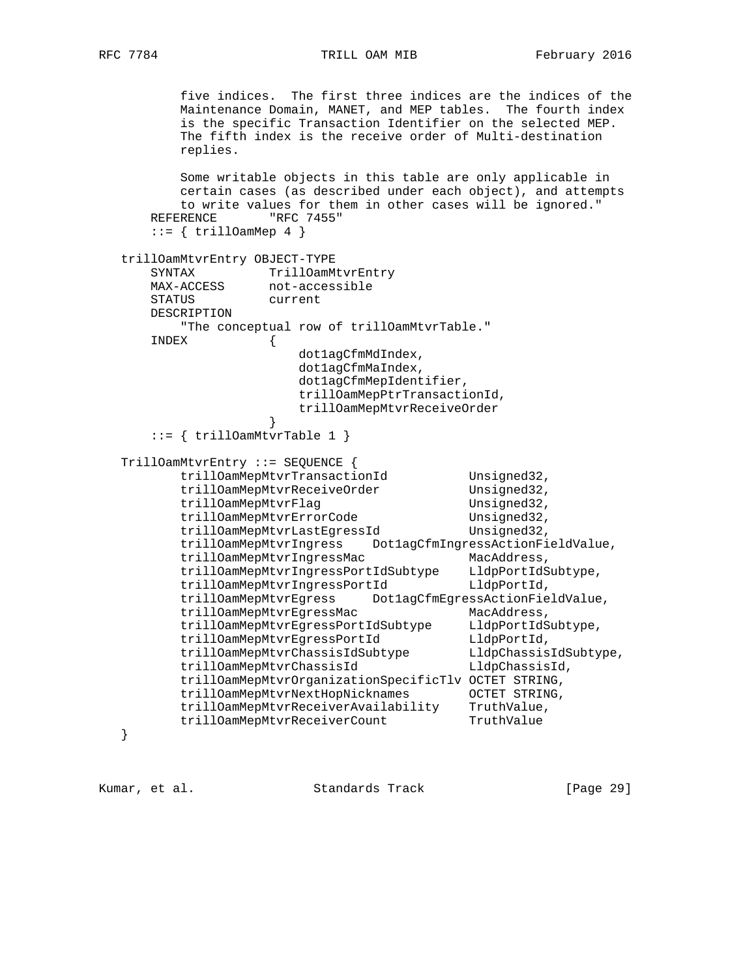#### RFC 7784 TRILL OAM MIB February 2016

 five indices. The first three indices are the indices of the Maintenance Domain, MANET, and MEP tables. The fourth index is the specific Transaction Identifier on the selected MEP. The fifth index is the receive order of Multi-destination replies. Some writable objects in this table are only applicable in certain cases (as described under each object), and attempts to write values for them in other cases will be ignored." REFERENCE "RFC 7455"  $::=$  { trillOamMep 4 } trillOamMtvrEntry OBJECT-TYPE SYNTAX TrillOamMtvrEntry MAX-ACCESS not-accessible STATUS current DESCRIPTION "The conceptual row of trillOamMtvrTable." INDEX { dot1agCfmMdIndex, dot1agCfmMaIndex, dot1agCfmMepIdentifier, trillOamMepPtrTransactionId, trillOamMepMtvrReceiveOrder }  $::=$  { trillOamMtvrTable 1 } TrillOamMtvrEntry ::= SEQUENCE { trillOamMepMtvrTransactionId Unsigned32, trillOamMepMtvrReceiveOrder Unsigned32, trillOamMepMtvrFlag Unsigned32,<br>trillOamMepMtvrErrorCode Unsigned32, trillOamMepMtvrErrorCode Unsigned32, trillOamMepMtvrLastEgressId Unsigned32, trillOamMepMtvrIngress Dot1agCfmIngressActionFieldValue,<br>trillOamMepMtvrIngressMac MacAddress, trillOamMepMtvrIngressMac trillOamMepMtvrIngressPortIdSubtype LldpPortIdSubtype, trillOamMepMtvrIngressPortId LldpPortId, trillOamMepMtvrEgress Dot1agCfmEgressActionFieldValue, trillOamMepMtvrEgressMac MacAddress, trillOamMepMtvrEgressPortIdSubtype LldpPortIdSubtype, trillOamMepMtvrEgressPortId LldpPortId, trillOamMepMtvrChassisIdSubtype LldpChassisIdSubtype,<br>trillOamMerMtvrChassisIdSubtype LldpChassisIdSubtype, trillOamMepMtvrChassisId LldpChassisId, trillOamMepMtvrOrganizationSpecificTlv OCTET STRING, trillOamMepMtvrNextHopNicknames OCTET STRING, trillOamMepMtvrReceiverAvailability TruthValue, trillOamMepMtvrReceiverCount TruthValue

}

Kumar, et al. Standards Track [Page 29]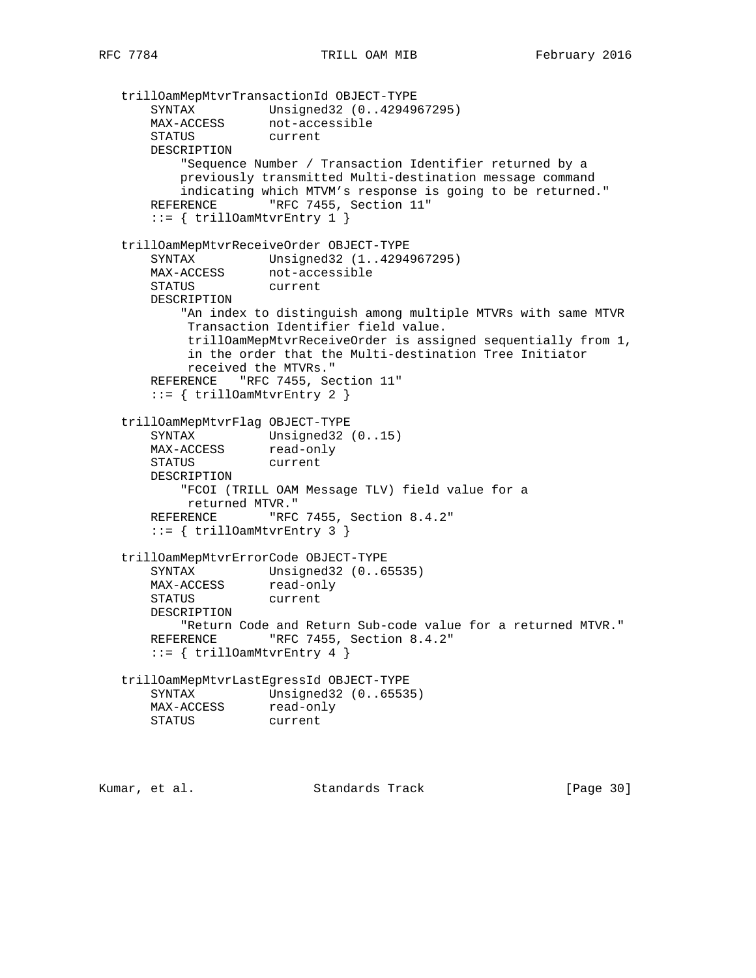```
 trillOamMepMtvrTransactionId OBJECT-TYPE
 SYNTAX Unsigned32 (0..4294967295)
 MAX-ACCESS not-accessible
 STATUS current
      DESCRIPTION
          "Sequence Number / Transaction Identifier returned by a
          previously transmitted Multi-destination message command
          indicating which MTVM's response is going to be returned."
     REFERENCE "RFC 7455, Section 11"
      ::= { trillOamMtvrEntry 1 }
   trillOamMepMtvrReceiveOrder OBJECT-TYPE
      SYNTAX Unsigned32 (1..4294967295)
 MAX-ACCESS not-accessible
 STATUS current
      DESCRIPTION
          "An index to distinguish among multiple MTVRs with same MTVR
           Transaction Identifier field value.
           trillOamMepMtvrReceiveOrder is assigned sequentially from 1,
           in the order that the Multi-destination Tree Initiator
           received the MTVRs."
      REFERENCE "RFC 7455, Section 11"
      ::= { trillOamMtvrEntry 2 }
   trillOamMepMtvrFlag OBJECT-TYPE
SYNTAX Unsigned32 (0..15)
MAX-ACCESS read-only
      STATUS current
      DESCRIPTION
          "FCOI (TRILL OAM Message TLV) field value for a
          returned MTVR."
     REFERENCE "RFC 7455, Section 8.4.2"
       ::= { trillOamMtvrEntry 3 }
   trillOamMepMtvrErrorCode OBJECT-TYPE
 SYNTAX Unsigned32 (0..65535)
MAX-ACCESS read-only
 STATUS current
      DESCRIPTION
         "Return Code and Return Sub-code value for a returned MTVR."
     REFERENCE "RFC 7455, Section 8.4.2"
      ::= { trillOamMtvrEntry 4 }
   trillOamMepMtvrLastEgressId OBJECT-TYPE
      SYNTAX Unsigned32 (0..65535)
MAX-ACCESS read-only
 STATUS current
```
Kumar, et al. Standards Track [Page 30]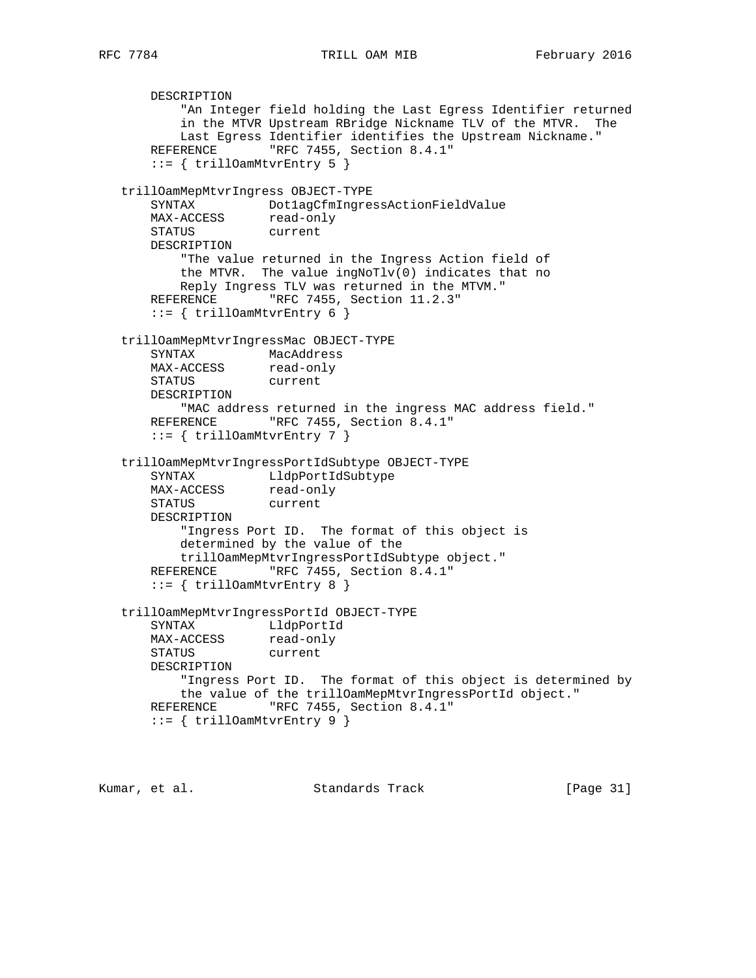```
 DESCRIPTION
          "An Integer field holding the Last Egress Identifier returned
          in the MTVR Upstream RBridge Nickname TLV of the MTVR. The
          Last Egress Identifier identifies the Upstream Nickname."
      REFERENCE "RFC 7455, Section 8.4.1"
      ::= { trillOamMtvrEntry 5 }
   trillOamMepMtvrIngress OBJECT-TYPE
       SYNTAX Dot1agCfmIngressActionFieldValue
MAX-ACCESS read-only
 STATUS current
      DESCRIPTION
          "The value returned in the Ingress Action field of
          the MTVR. The value ingNoTlv(0) indicates that no
          Reply Ingress TLV was returned in the MTVM."
      REFERENCE "RFC 7455, Section 11.2.3"
      ::= { trillOamMtvrEntry 6 }
   trillOamMepMtvrIngressMac OBJECT-TYPE
      SYNTAX MacAddress
MAX-ACCESS read-only
 STATUS current
      DESCRIPTION
          "MAC address returned in the ingress MAC address field."
     REFERENCE "RFC 7455, Section 8.4.1"
       ::= { trillOamMtvrEntry 7 }
   trillOamMepMtvrIngressPortIdSubtype OBJECT-TYPE
 SYNTAX LldpPortIdSubtype
MAX-ACCESS read-only
 STATUS current
      DESCRIPTION
          "Ingress Port ID. The format of this object is
          determined by the value of the
          trillOamMepMtvrIngressPortIdSubtype object."
      REFERENCE "RFC 7455, Section 8.4.1"
       ::= { trillOamMtvrEntry 8 }
   trillOamMepMtvrIngressPortId OBJECT-TYPE
      SYNTAX LldpPortId
MAX-ACCESS read-only
 STATUS current
      DESCRIPTION
          "Ingress Port ID. The format of this object is determined by
          the value of the trillOamMepMtvrIngressPortId object."
      REFERENCE "RFC 7455, Section 8.4.1"
       ::= { trillOamMtvrEntry 9 }
```
Kumar, et al. Standards Track [Page 31]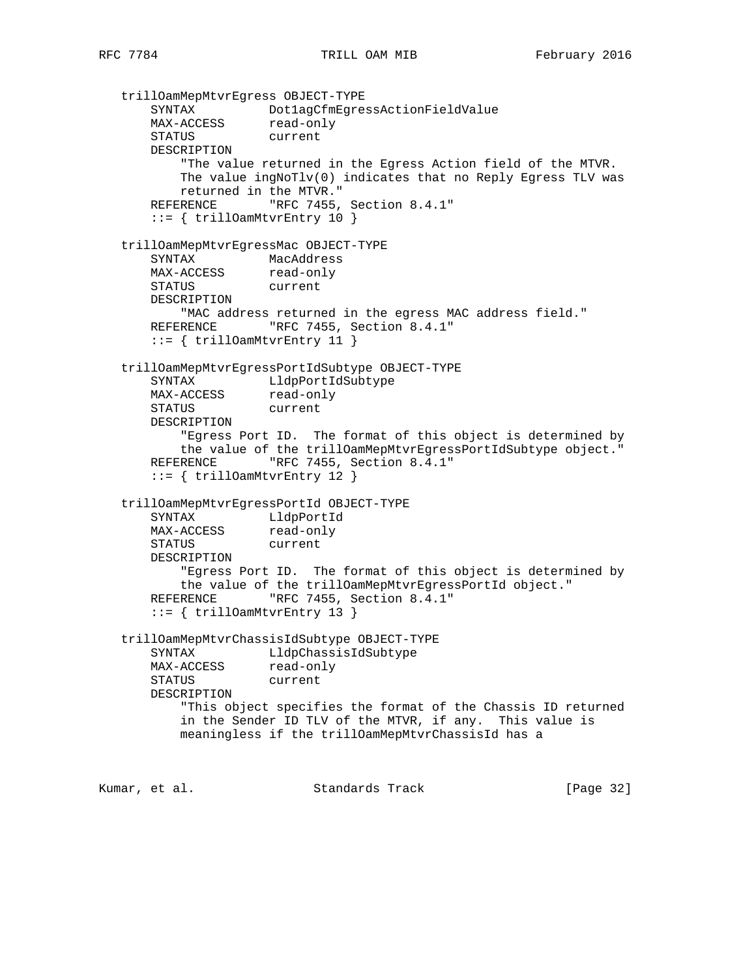trillOamMepMtvrEgress OBJECT-TYPE SYNTAX Dot1agCfmEgressActionFieldValue MAX-ACCESS read-only STATUS current DESCRIPTION "The value returned in the Egress Action field of the MTVR. The value ingNoTlv(0) indicates that no Reply Egress TLV was returned in the MTVR." REFERENCE "RFC 7455, Section 8.4.1" ::= { trillOamMtvrEntry 10 } trillOamMepMtvrEgressMac OBJECT-TYPE SYNTAX MacAddress MAX-ACCESS read-only STATUS current DESCRIPTION "MAC address returned in the egress MAC address field." REFERENCE "RFC 7455, Section 8.4.1" ::= { trillOamMtvrEntry 11 } trillOamMepMtvrEgressPortIdSubtype OBJECT-TYPE SYNTAX LldpPortIdSubtype MAX-ACCESS read-only STATUS current DESCRIPTION "Egress Port ID. The format of this object is determined by the value of the trillOamMepMtvrEgressPortIdSubtype object." REFERENCE "RFC 7455, Section 8.4.1" ::= { trillOamMtvrEntry 12 } trillOamMepMtvrEgressPortId OBJECT-TYPE SYNTAX LldpPortId MAX-ACCESS read-only STATUS current DESCRIPTION "Egress Port ID. The format of this object is determined by the value of the trillOamMepMtvrEgressPortId object." REFERENCE "RFC 7455, Section 8.4.1" ::= { trillOamMtvrEntry 13 } trillOamMepMtvrChassisIdSubtype OBJECT-TYPE SYNTAX LldpChassisIdSubtype MAX-ACCESS read-only STATUS current DESCRIPTION "This object specifies the format of the Chassis ID returned in the Sender ID TLV of the MTVR, if any. This value is meaningless if the trillOamMepMtvrChassisId has a

Kumar, et al. Standards Track [Page 32]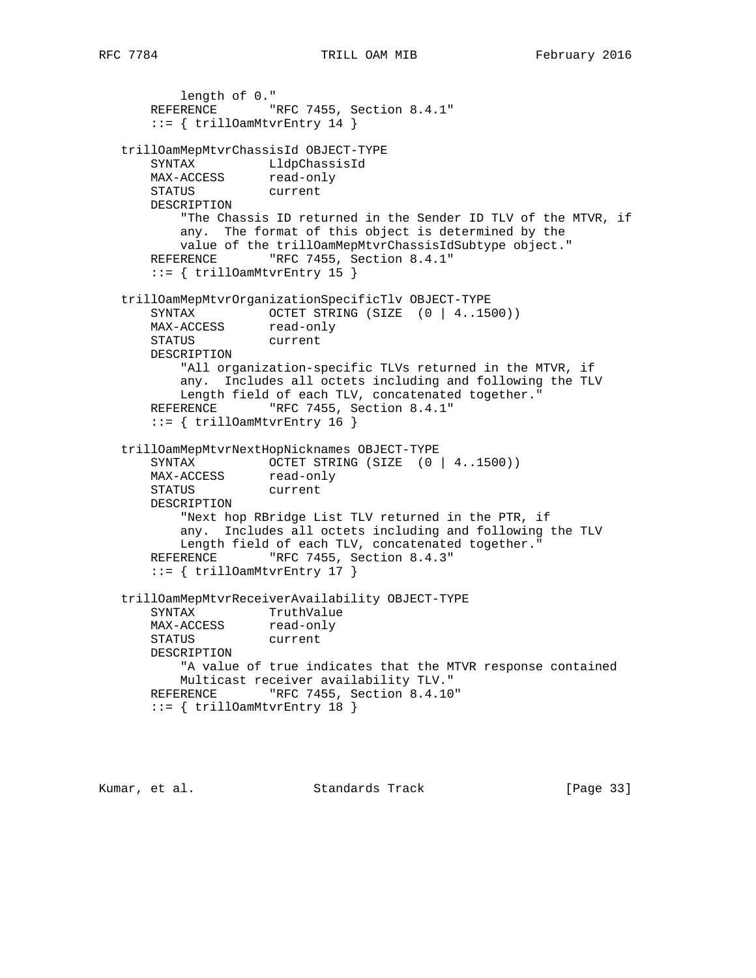```
 length of 0."
      REFERENCE "RFC 7455, Section 8.4.1"
       ::= { trillOamMtvrEntry 14 }
   trillOamMepMtvrChassisId OBJECT-TYPE
 SYNTAX LldpChassisId
MAX-ACCESS read-only
 STATUS current
      DESCRIPTION
          "The Chassis ID returned in the Sender ID TLV of the MTVR, if
          any. The format of this object is determined by the
          value of the trillOamMepMtvrChassisIdSubtype object."
      REFERENCE "RFC 7455, Section 8.4.1"
       ::= { trillOamMtvrEntry 15 }
   trillOamMepMtvrOrganizationSpecificTlv OBJECT-TYPE
     SYNTAX OCTET STRING (SIZE (0 | 4..1500))
MAX-ACCESS read-only
 STATUS current
      DESCRIPTION
          "All organization-specific TLVs returned in the MTVR, if
          any. Includes all octets including and following the TLV
          Length field of each TLV, concatenated together."
     REFERENCE "RFC 7455, Section 8.4.1"
       ::= { trillOamMtvrEntry 16 }
   trillOamMepMtvrNextHopNicknames OBJECT-TYPE
SYNTAX OCTET STRING (SIZE (0 | 4..1500))
MAX-ACCESS read-only
 STATUS current
      DESCRIPTION
          "Next hop RBridge List TLV returned in the PTR, if
          any. Includes all octets including and following the TLV
          Length field of each TLV, concatenated together."
     REFERENCE "RFC 7455, Section 8.4.3"
       ::= { trillOamMtvrEntry 17 }
   trillOamMepMtvrReceiverAvailability OBJECT-TYPE
     SYNTAX TruthValue
MAX-ACCESS read-only
 STATUS current
      DESCRIPTION
          "A value of true indicates that the MTVR response contained
          Multicast receiver availability TLV."
     REFERENCE "RFC 7455, Section 8.4.10"
       ::= { trillOamMtvrEntry 18 }
```
Kumar, et al. Standards Track [Page 33]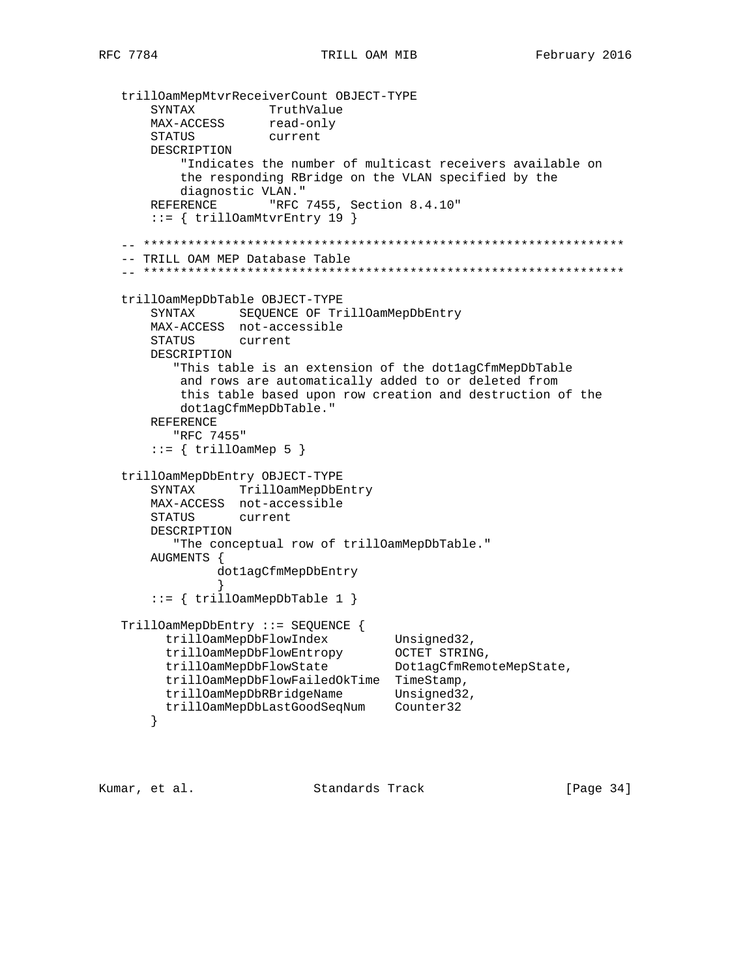```
 trillOamMepMtvrReceiverCount OBJECT-TYPE
SYNTAX TruthValue
MAX-ACCESS read-only
 STATUS current
       DESCRIPTION
           "Indicates the number of multicast receivers available on
           the responding RBridge on the VLAN specified by the
           diagnostic VLAN."
      REFERENCE "RFC 7455, Section 8.4.10"
       ::= { trillOamMtvrEntry 19 }
   -- *****************************************************************
   -- TRILL OAM MEP Database Table
   -- *****************************************************************
   trillOamMepDbTable OBJECT-TYPE
       SYNTAX SEQUENCE OF TrillOamMepDbEntry
       MAX-ACCESS not-accessible
       STATUS current
       DESCRIPTION
          "This table is an extension of the dot1agCfmMepDbTable
          and rows are automatically added to or deleted from
          this table based upon row creation and destruction of the
          dot1agCfmMepDbTable."
       REFERENCE
          "RFC 7455"
      ::= { trillOamMep 5 }
   trillOamMepDbEntry OBJECT-TYPE
       SYNTAX TrillOamMepDbEntry
       MAX-ACCESS not-accessible
       STATUS current
       DESCRIPTION
          "The conceptual row of trillOamMepDbTable."
       AUGMENTS {
               dot1agCfmMepDbEntry
 }
       ::= { trillOamMepDbTable 1 }
   TrillOamMepDbEntry ::= SEQUENCE {
 trillOamMepDbFlowIndex Unsigned32,
 trillOamMepDbFlowEntropy OCTET STRING,
 trillOamMepDbFlowState Dot1agCfmRemoteMepState,
         trillOamMepDbFlowFailedOkTime TimeStamp,
        trillOamMepDbRBridgeName Unsigned32,
         trillOamMepDbLastGoodSeqNum Counter32
       }
```
Kumar, et al. Standards Track [Page 34]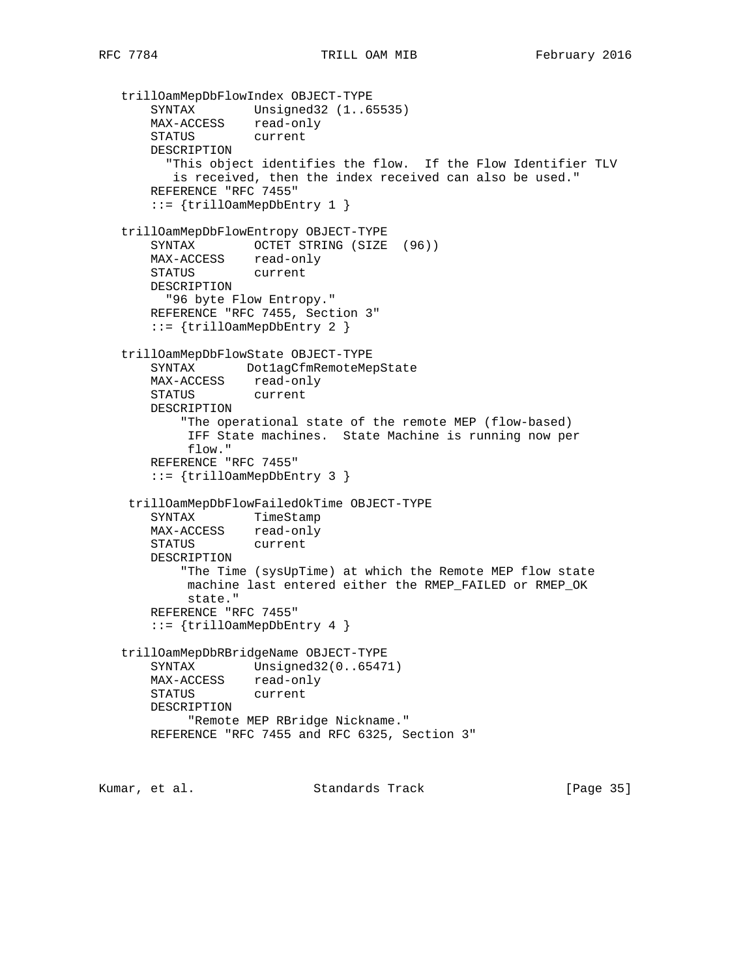```
 trillOamMepDbFlowIndex OBJECT-TYPE
 SYNTAX Unsigned32 (1..65535)
 MAX-ACCESS read-only
       STATUS current
       DESCRIPTION
         "This object identifies the flow. If the Flow Identifier TLV
         is received, then the index received can also be used."
       REFERENCE "RFC 7455"
       ::= {trillOamMepDbEntry 1 }
   trillOamMepDbFlowEntropy OBJECT-TYPE
       SYNTAX OCTET STRING (SIZE (96))
 MAX-ACCESS read-only
 STATUS current
       DESCRIPTION
        "96 byte Flow Entropy."
       REFERENCE "RFC 7455, Section 3"
       ::= {trillOamMepDbEntry 2 }
   trillOamMepDbFlowState OBJECT-TYPE
       SYNTAX Dot1agCfmRemoteMepState
       MAX-ACCESS read-only
       STATUS current
       DESCRIPTION
           "The operational state of the remote MEP (flow-based)
           IFF State machines. State Machine is running now per
           flow."
       REFERENCE "RFC 7455"
       ::= {trillOamMepDbEntry 3 }
    trillOamMepDbFlowFailedOkTime OBJECT-TYPE
       SYNTAX TimeStamp
       MAX-ACCESS read-only
       STATUS current
       DESCRIPTION
           "The Time (sysUpTime) at which the Remote MEP flow state
           machine last entered either the RMEP_FAILED or RMEP_OK
           state."
       REFERENCE "RFC 7455"
       ::= {trillOamMepDbEntry 4 }
   trillOamMepDbRBridgeName OBJECT-TYPE
      SYNTAX Unsigned32(0..65471)
       MAX-ACCESS read-only
       STATUS current
       DESCRIPTION
           "Remote MEP RBridge Nickname."
       REFERENCE "RFC 7455 and RFC 6325, Section 3"
```
Kumar, et al. Standards Track [Page 35]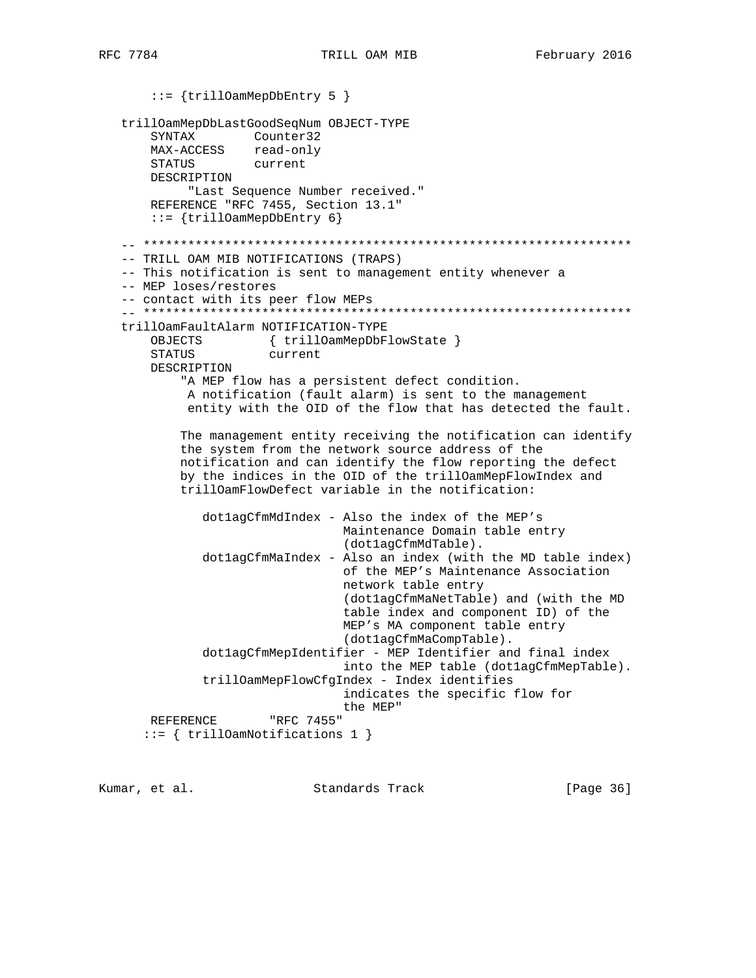::= {trillOamMepDbEntry 5 } trillOamMepDbLastGoodSeqNum OBJECT-TYPE SYNTAX Counter32 MAX-ACCESS read-only STATUS current DESCRIPTION "Last Sequence Number received." REFERENCE "RFC 7455, Section 13.1" ::= {trillOamMepDbEntry 6} -- \*\*\*\*\*\*\*\*\*\*\*\*\*\*\*\*\*\*\*\*\*\*\*\*\*\*\*\*\*\*\*\*\*\*\*\*\*\*\*\*\*\*\*\*\*\*\*\*\*\*\*\*\*\*\*\*\*\*\*\*\*\*\*\*\*\* -- TRILL OAM MIB NOTIFICATIONS (TRAPS) -- This notification is sent to management entity whenever a -- MEP loses/restores -- contact with its peer flow MEPs -- \*\*\*\*\*\*\*\*\*\*\*\*\*\*\*\*\*\*\*\*\*\*\*\*\*\*\*\*\*\*\*\*\*\*\*\*\*\*\*\*\*\*\*\*\*\*\*\*\*\*\*\*\*\*\*\*\*\*\*\*\*\*\*\*\*\* trillOamFaultAlarm NOTIFICATION-TYPE OBJECTS { trillOamMepDbFlowState } STATUS current DESCRIPTION "A MEP flow has a persistent defect condition. A notification (fault alarm) is sent to the management entity with the OID of the flow that has detected the fault. The management entity receiving the notification can identify the system from the network source address of the notification and can identify the flow reporting the defect by the indices in the OID of the trillOamMepFlowIndex and trillOamFlowDefect variable in the notification: dot1agCfmMdIndex - Also the index of the MEP's Maintenance Domain table entry (dot1agCfmMdTable). dot1agCfmMaIndex - Also an index (with the MD table index) of the MEP's Maintenance Association network table entry (dot1agCfmMaNetTable) and (with the MD table index and component ID) of the MEP's MA component table entry (dot1agCfmMaCompTable). dot1agCfmMepIdentifier - MEP Identifier and final index into the MEP table (dot1agCfmMepTable). trillOamMepFlowCfgIndex - Index identifies indicates the specific flow for the MEP" REFERENCE "RFC 7455" ::= { trillOamNotifications 1 }

Kumar, et al. Standards Track [Page 36]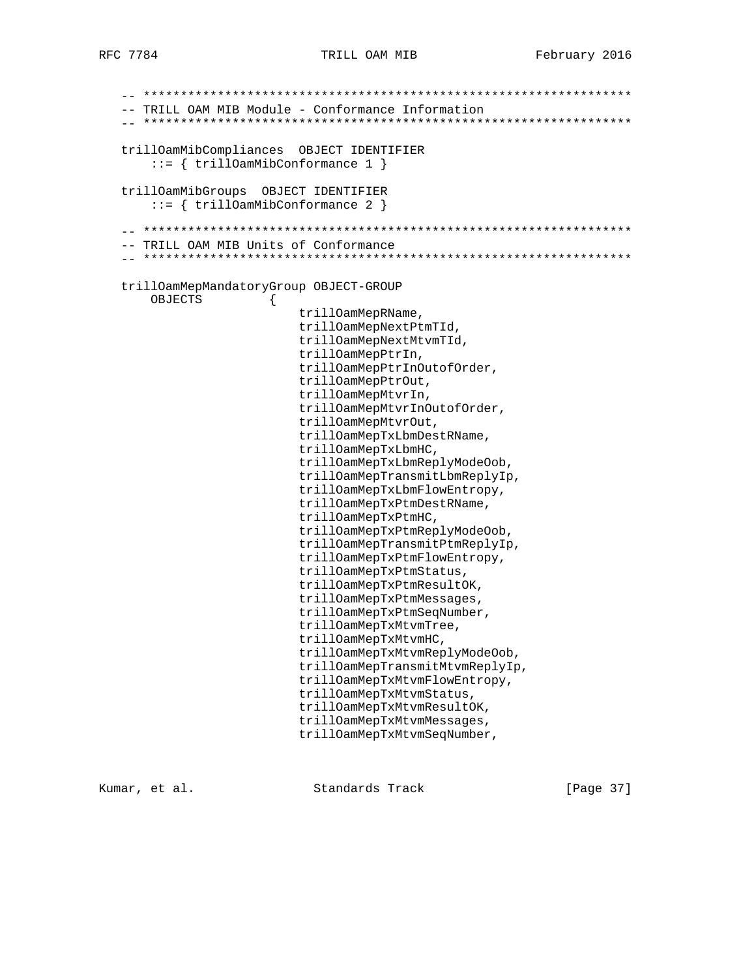```
 -- ******************************************************************
-- TRILL OAM MIB Module - Conformance Information
 -- ******************************************************************
 trillOamMibCompliances OBJECT IDENTIFIER
     ::= { trillOamMibConformance 1 }
 trillOamMibGroups OBJECT IDENTIFIER
     ::= { trillOamMibConformance 2 }
 -- ******************************************************************
 -- TRILL OAM MIB Units of Conformance
 -- ******************************************************************
 trillOamMepMandatoryGroup OBJECT-GROUP
     OBJECTS {
                          trillOamMepRName,
                          trillOamMepNextPtmTId,
                          trillOamMepNextMtvmTId,
                          trillOamMepPtrIn,
                          trillOamMepPtrInOutofOrder,
                          trillOamMepPtrOut,
                          trillOamMepMtvrIn,
                          trillOamMepMtvrInOutofOrder,
                          trillOamMepMtvrOut,
                          trillOamMepTxLbmDestRName,
                          trillOamMepTxLbmHC,
                          trillOamMepTxLbmReplyModeOob,
                          trillOamMepTransmitLbmReplyIp,
                          trillOamMepTxLbmFlowEntropy,
                          trillOamMepTxPtmDestRName,
                          trillOamMepTxPtmHC,
                          trillOamMepTxPtmReplyModeOob,
                          trillOamMepTransmitPtmReplyIp,
                          trillOamMepTxPtmFlowEntropy,
                          trillOamMepTxPtmStatus,
                          trillOamMepTxPtmResultOK,
                          trillOamMepTxPtmMessages,
                          trillOamMepTxPtmSeqNumber,
                          trillOamMepTxMtvmTree,
                          trillOamMepTxMtvmHC,
                          trillOamMepTxMtvmReplyModeOob,
                          trillOamMepTransmitMtvmReplyIp,
                          trillOamMepTxMtvmFlowEntropy,
                          trillOamMepTxMtvmStatus,
                          trillOamMepTxMtvmResultOK,
                          trillOamMepTxMtvmMessages,
                          trillOamMepTxMtvmSeqNumber,
```
Kumar, et al. Standards Track [Page 37]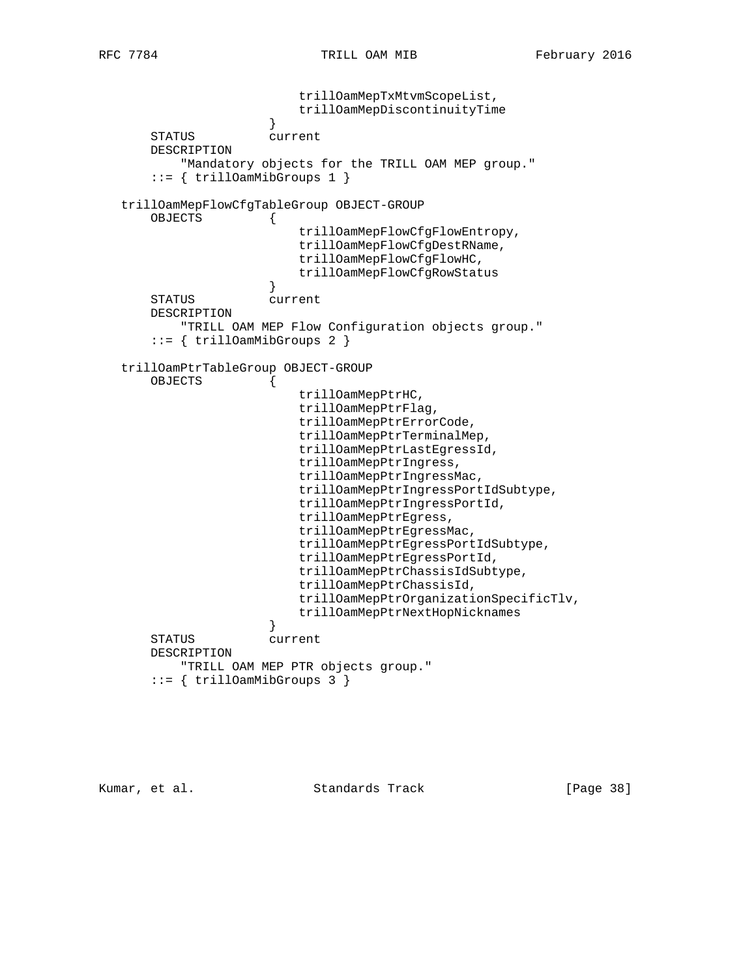trillOamMepTxMtvmScopeList, trillOamMepDiscontinuityTime } STATUS current DESCRIPTION "Mandatory objects for the TRILL OAM MEP group." ::= { trillOamMibGroups 1 } trillOamMepFlowCfgTableGroup OBJECT-GROUP OBJECTS { trillOamMepFlowCfgFlowEntropy, trillOamMepFlowCfgDestRName, trillOamMepFlowCfgFlowHC, trillOamMepFlowCfgRowStatus<br>} } STATUS current DESCRIPTION "TRILL OAM MEP Flow Configuration objects group." ::= { trillOamMibGroups 2 } trillOamPtrTableGroup OBJECT-GROUP OBJECTS { trillOamMepPtrHC, trillOamMepPtrFlag, trillOamMepPtrErrorCode, trillOamMepPtrTerminalMep, trillOamMepPtrLastEgressId, trillOamMepPtrIngress, trillOamMepPtrIngressMac, trillOamMepPtrIngressPortIdSubtype, trillOamMepPtrIngressPortId, trillOamMepPtrEgress, trillOamMepPtrEgressMac, trillOamMepPtrEgressPortIdSubtype, trillOamMepPtrEgressPortId, trillOamMepPtrChassisIdSubtype, trillOamMepPtrChassisId, trillOamMepPtrOrganizationSpecificTlv, trillOamMepPtrNextHopNicknames } STATUS current DESCRIPTION "TRILL OAM MEP PTR objects group."  $::=$  { trillOamMibGroups 3 }

Kumar, et al. Standards Track [Page 38]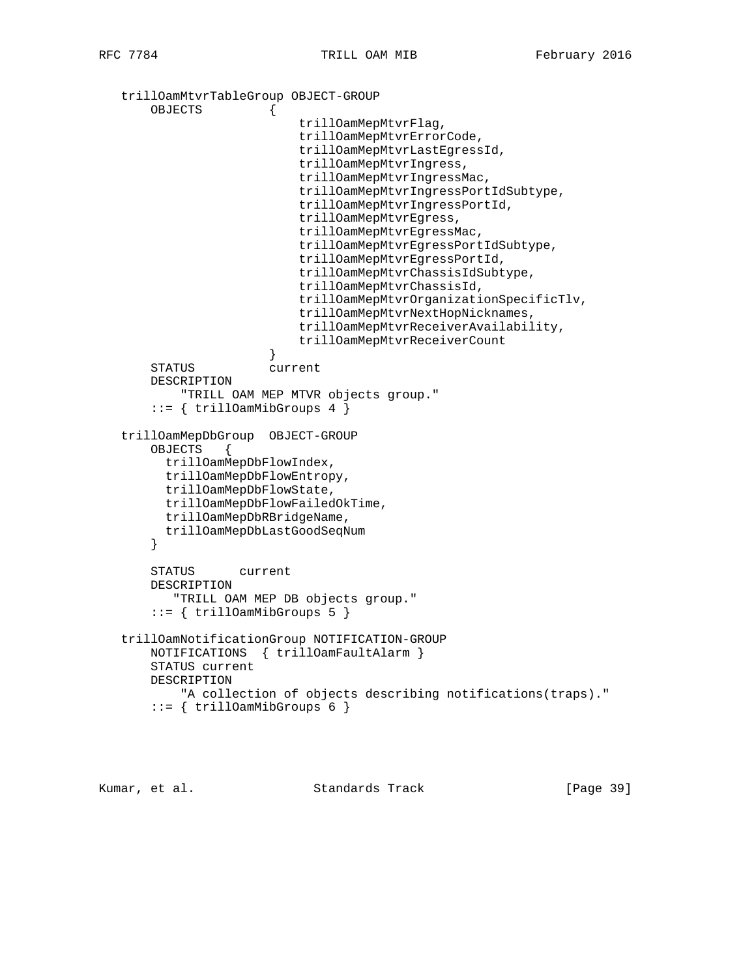```
 trillOamMtvrTableGroup OBJECT-GROUP
       OBJECTS {
                            trillOamMepMtvrFlag,
                            trillOamMepMtvrErrorCode,
                            trillOamMepMtvrLastEgressId,
                            trillOamMepMtvrIngress,
                            trillOamMepMtvrIngressMac,
                            trillOamMepMtvrIngressPortIdSubtype,
                            trillOamMepMtvrIngressPortId,
                            trillOamMepMtvrEgress,
                            trillOamMepMtvrEgressMac,
                            trillOamMepMtvrEgressPortIdSubtype,
                            trillOamMepMtvrEgressPortId,
                            trillOamMepMtvrChassisIdSubtype,
                            trillOamMepMtvrChassisId,
                            trillOamMepMtvrOrganizationSpecificTlv,
                            trillOamMepMtvrNextHopNicknames,
                            trillOamMepMtvrReceiverAvailability,
                        trillOamMepMtvrReceiverCount
 }
       STATUS current
       DESCRIPTION
            "TRILL OAM MEP MTVR objects group."
        ::= { trillOamMibGroups 4 }
   trillOamMepDbGroup OBJECT-GROUP
       OBJECTS {
         trillOamMepDbFlowIndex,
         trillOamMepDbFlowEntropy,
         trillOamMepDbFlowState,
         trillOamMepDbFlowFailedOkTime,
         trillOamMepDbRBridgeName,
         trillOamMepDbLastGoodSeqNum
       }
       STATUS current
       DESCRIPTION
          "TRILL OAM MEP DB objects group."
       ::= { trillOamMibGroups 5 }
   trillOamNotificationGroup NOTIFICATION-GROUP
       NOTIFICATIONS { trillOamFaultAlarm }
       STATUS current
       DESCRIPTION
           "A collection of objects describing notifications(traps)."
        ::= { trillOamMibGroups 6 }
```
Kumar, et al. Standards Track [Page 39]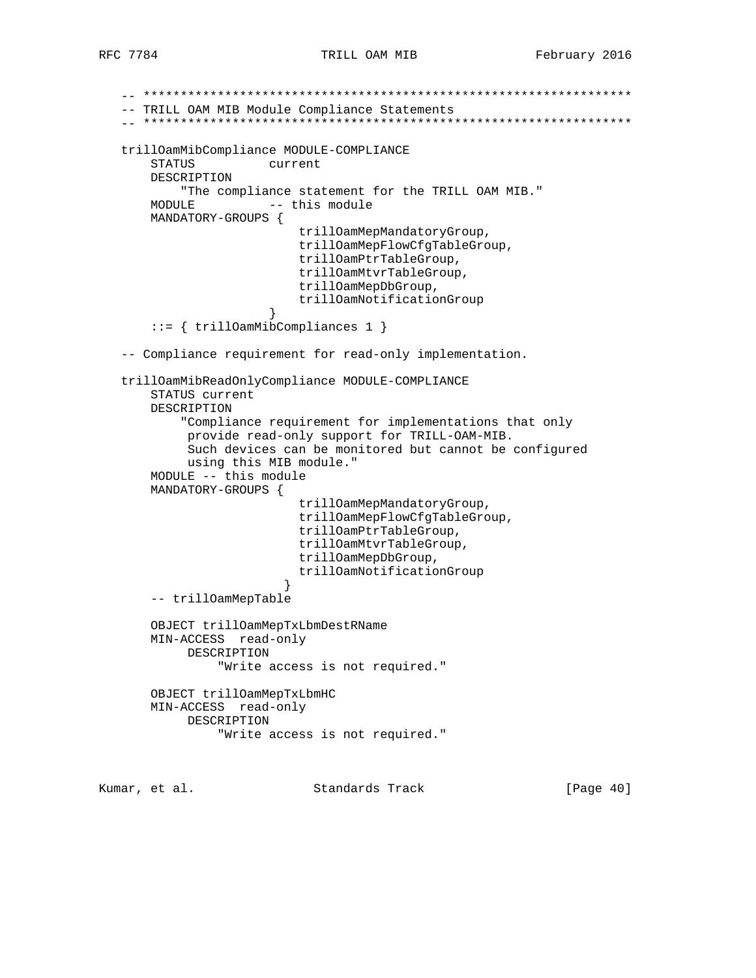```
 -- ******************************************************************
   -- TRILL OAM MIB Module Compliance Statements
   -- ******************************************************************
   trillOamMibCompliance MODULE-COMPLIANCE
       STATUS current
       DESCRIPTION
           "The compliance statement for the TRILL OAM MIB."
      MODULE -- this module
       MANDATORY-GROUPS {
                           trillOamMepMandatoryGroup,
                           trillOamMepFlowCfgTableGroup,
                           trillOamPtrTableGroup,
                           trillOamMtvrTableGroup,
                           trillOamMepDbGroup,
                           trillOamNotificationGroup
 }
       ::= { trillOamMibCompliances 1 }
   -- Compliance requirement for read-only implementation.
   trillOamMibReadOnlyCompliance MODULE-COMPLIANCE
       STATUS current
       DESCRIPTION
            "Compliance requirement for implementations that only
            provide read-only support for TRILL-OAM-MIB.
            Such devices can be monitored but cannot be configured
            using this MIB module."
       MODULE -- this module
       MANDATORY-GROUPS {
                           trillOamMepMandatoryGroup,
                           trillOamMepFlowCfgTableGroup,
                           trillOamPtrTableGroup,
                           trillOamMtvrTableGroup,
                           trillOamMepDbGroup,
                        trillOamNotificationGroup<br>}
 }
       -- trillOamMepTable
       OBJECT trillOamMepTxLbmDestRName
       MIN-ACCESS read-only
            DESCRIPTION
                "Write access is not required."
       OBJECT trillOamMepTxLbmHC
       MIN-ACCESS read-only
            DESCRIPTION
                "Write access is not required."
```
Kumar, et al. Standards Track [Page 40]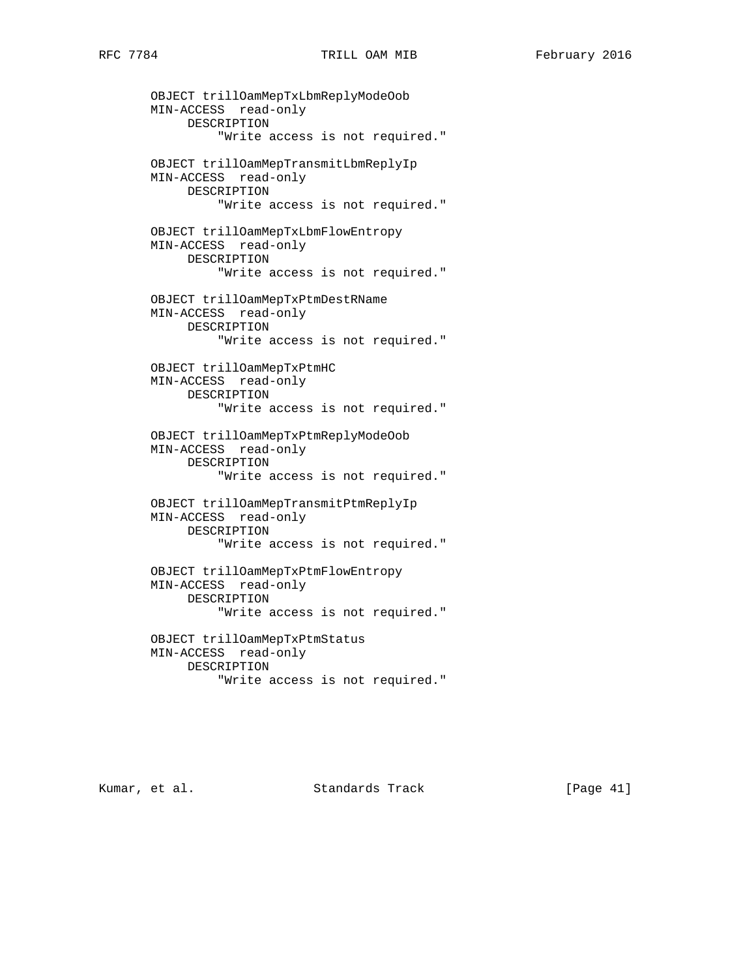OBJECT trillOamMepTxLbmReplyModeOob MIN-ACCESS read-only DESCRIPTION "Write access is not required." OBJECT trillOamMepTransmitLbmReplyIp MIN-ACCESS read-only DESCRIPTION "Write access is not required." OBJECT trillOamMepTxLbmFlowEntropy MIN-ACCESS read-only DESCRIPTION "Write access is not required." OBJECT trillOamMepTxPtmDestRName MIN-ACCESS read-only DESCRIPTION "Write access is not required." OBJECT trillOamMepTxPtmHC MIN-ACCESS read-only DESCRIPTION "Write access is not required." OBJECT trillOamMepTxPtmReplyModeOob MIN-ACCESS read-only DESCRIPTION "Write access is not required." OBJECT trillOamMepTransmitPtmReplyIp MIN-ACCESS read-only DESCRIPTION "Write access is not required." OBJECT trillOamMepTxPtmFlowEntropy MIN-ACCESS read-only DESCRIPTION "Write access is not required." OBJECT trillOamMepTxPtmStatus MIN-ACCESS read-only DESCRIPTION "Write access is not required."

Kumar, et al. Standards Track [Page 41]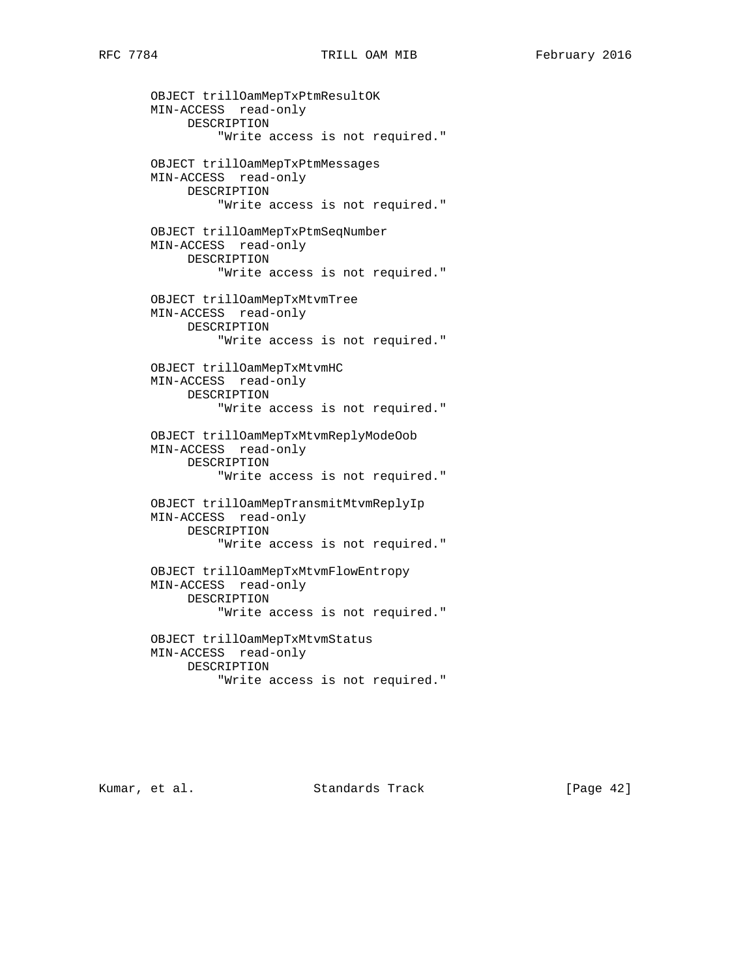OBJECT trillOamMepTxPtmResultOK MIN-ACCESS read-only DESCRIPTION "Write access is not required." OBJECT trillOamMepTxPtmMessages MIN-ACCESS read-only DESCRIPTION "Write access is not required." OBJECT trillOamMepTxPtmSeqNumber MIN-ACCESS read-only DESCRIPTION "Write access is not required." OBJECT trillOamMepTxMtvmTree MIN-ACCESS read-only DESCRIPTION "Write access is not required." OBJECT trillOamMepTxMtvmHC MIN-ACCESS read-only DESCRIPTION "Write access is not required." OBJECT trillOamMepTxMtvmReplyModeOob MIN-ACCESS read-only DESCRIPTION "Write access is not required." OBJECT trillOamMepTransmitMtvmReplyIp MIN-ACCESS read-only DESCRIPTION "Write access is not required." OBJECT trillOamMepTxMtvmFlowEntropy MIN-ACCESS read-only DESCRIPTION "Write access is not required." OBJECT trillOamMepTxMtvmStatus MIN-ACCESS read-only DESCRIPTION "Write access is not required."

Kumar, et al. Standards Track [Page 42]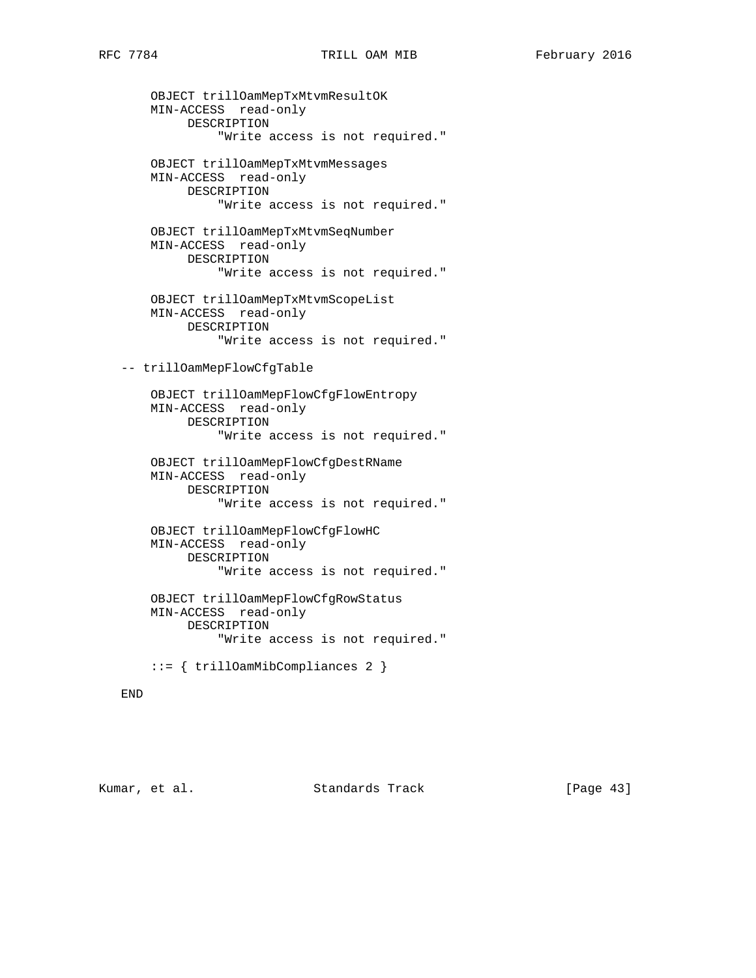OBJECT trillOamMepTxMtvmResultOK MIN-ACCESS read-only DESCRIPTION "Write access is not required." OBJECT trillOamMepTxMtvmMessages MIN-ACCESS read-only DESCRIPTION "Write access is not required." OBJECT trillOamMepTxMtvmSeqNumber MIN-ACCESS read-only DESCRIPTION "Write access is not required." OBJECT trillOamMepTxMtvmScopeList MIN-ACCESS read-only DESCRIPTION "Write access is not required." -- trillOamMepFlowCfgTable OBJECT trillOamMepFlowCfgFlowEntropy MIN-ACCESS read-only DESCRIPTION "Write access is not required." OBJECT trillOamMepFlowCfgDestRName MIN-ACCESS read-only DESCRIPTION "Write access is not required." OBJECT trillOamMepFlowCfgFlowHC MIN-ACCESS read-only DESCRIPTION "Write access is not required."

 OBJECT trillOamMepFlowCfgRowStatus MIN-ACCESS read-only DESCRIPTION "Write access is not required."

::= { trillOamMibCompliances 2 }

#### END

Kumar, et al. Standards Track [Page 43]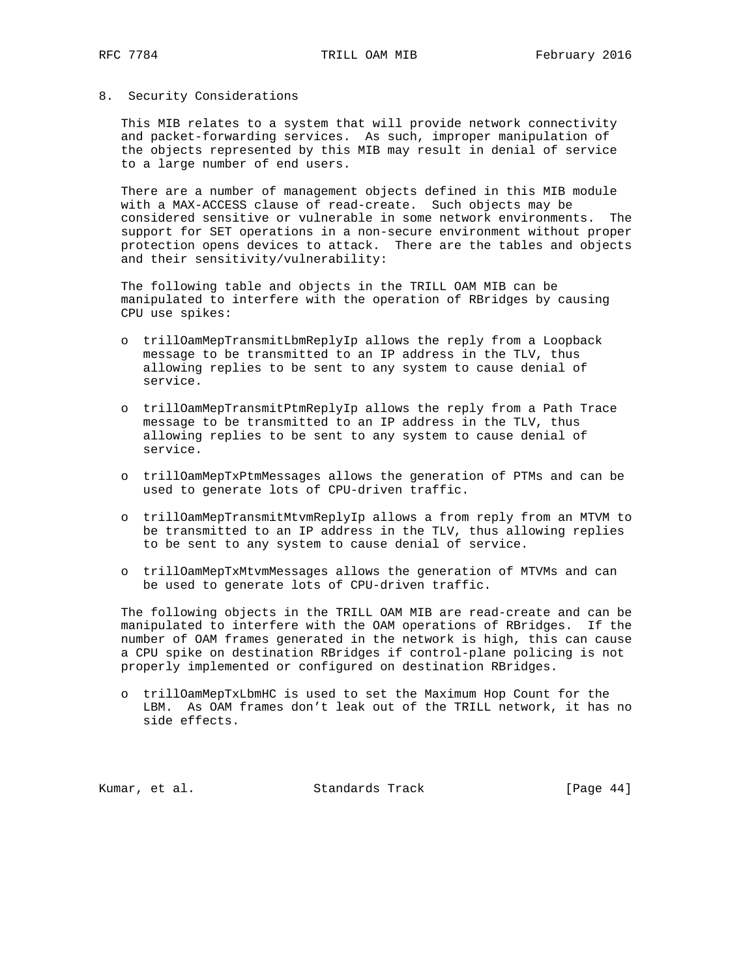#### 8. Security Considerations

 This MIB relates to a system that will provide network connectivity and packet-forwarding services. As such, improper manipulation of the objects represented by this MIB may result in denial of service to a large number of end users.

 There are a number of management objects defined in this MIB module with a MAX-ACCESS clause of read-create. Such objects may be considered sensitive or vulnerable in some network environments. The support for SET operations in a non-secure environment without proper protection opens devices to attack. There are the tables and objects and their sensitivity/vulnerability:

 The following table and objects in the TRILL OAM MIB can be manipulated to interfere with the operation of RBridges by causing CPU use spikes:

- o trillOamMepTransmitLbmReplyIp allows the reply from a Loopback message to be transmitted to an IP address in the TLV, thus allowing replies to be sent to any system to cause denial of service.
- o trillOamMepTransmitPtmReplyIp allows the reply from a Path Trace message to be transmitted to an IP address in the TLV, thus allowing replies to be sent to any system to cause denial of service.
- o trillOamMepTxPtmMessages allows the generation of PTMs and can be used to generate lots of CPU-driven traffic.
- o trillOamMepTransmitMtvmReplyIp allows a from reply from an MTVM to be transmitted to an IP address in the TLV, thus allowing replies to be sent to any system to cause denial of service.
- o trillOamMepTxMtvmMessages allows the generation of MTVMs and can be used to generate lots of CPU-driven traffic.

 The following objects in the TRILL OAM MIB are read-create and can be manipulated to interfere with the OAM operations of RBridges. If the number of OAM frames generated in the network is high, this can cause a CPU spike on destination RBridges if control-plane policing is not properly implemented or configured on destination RBridges.

 o trillOamMepTxLbmHC is used to set the Maximum Hop Count for the LBM. As OAM frames don't leak out of the TRILL network, it has no side effects.

Kumar, et al. Standards Track [Page 44]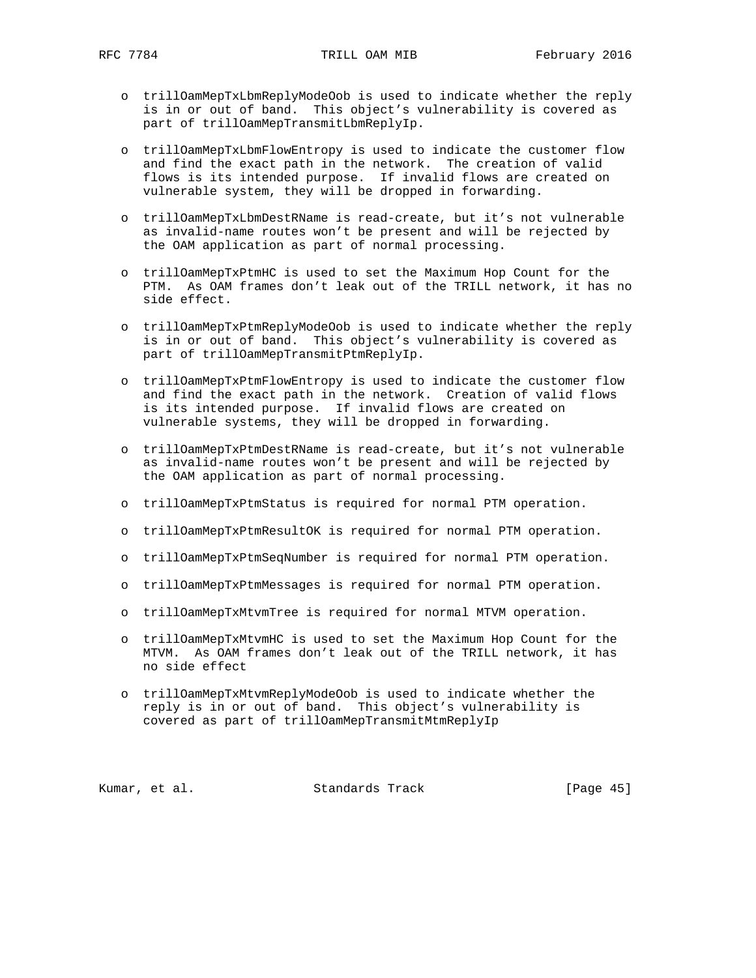- o trillOamMepTxLbmReplyModeOob is used to indicate whether the reply is in or out of band. This object's vulnerability is covered as part of trillOamMepTransmitLbmReplyIp.
- o trillOamMepTxLbmFlowEntropy is used to indicate the customer flow and find the exact path in the network. The creation of valid flows is its intended purpose. If invalid flows are created on vulnerable system, they will be dropped in forwarding.
- o trillOamMepTxLbmDestRName is read-create, but it's not vulnerable as invalid-name routes won't be present and will be rejected by the OAM application as part of normal processing.
- o trillOamMepTxPtmHC is used to set the Maximum Hop Count for the PTM. As OAM frames don't leak out of the TRILL network, it has no side effect.
- o trillOamMepTxPtmReplyModeOob is used to indicate whether the reply is in or out of band. This object's vulnerability is covered as part of trillOamMepTransmitPtmReplyIp.
- o trillOamMepTxPtmFlowEntropy is used to indicate the customer flow and find the exact path in the network. Creation of valid flows is its intended purpose. If invalid flows are created on vulnerable systems, they will be dropped in forwarding.
- o trillOamMepTxPtmDestRName is read-create, but it's not vulnerable as invalid-name routes won't be present and will be rejected by the OAM application as part of normal processing.
- o trillOamMepTxPtmStatus is required for normal PTM operation.
- o trillOamMepTxPtmResultOK is required for normal PTM operation.
- o trillOamMepTxPtmSeqNumber is required for normal PTM operation.
- o trillOamMepTxPtmMessages is required for normal PTM operation.
- o trillOamMepTxMtvmTree is required for normal MTVM operation.
- o trillOamMepTxMtvmHC is used to set the Maximum Hop Count for the MTVM. As OAM frames don't leak out of the TRILL network, it has no side effect
- o trillOamMepTxMtvmReplyModeOob is used to indicate whether the reply is in or out of band. This object's vulnerability is covered as part of trillOamMepTransmitMtmReplyIp

Kumar, et al. Standards Track [Page 45]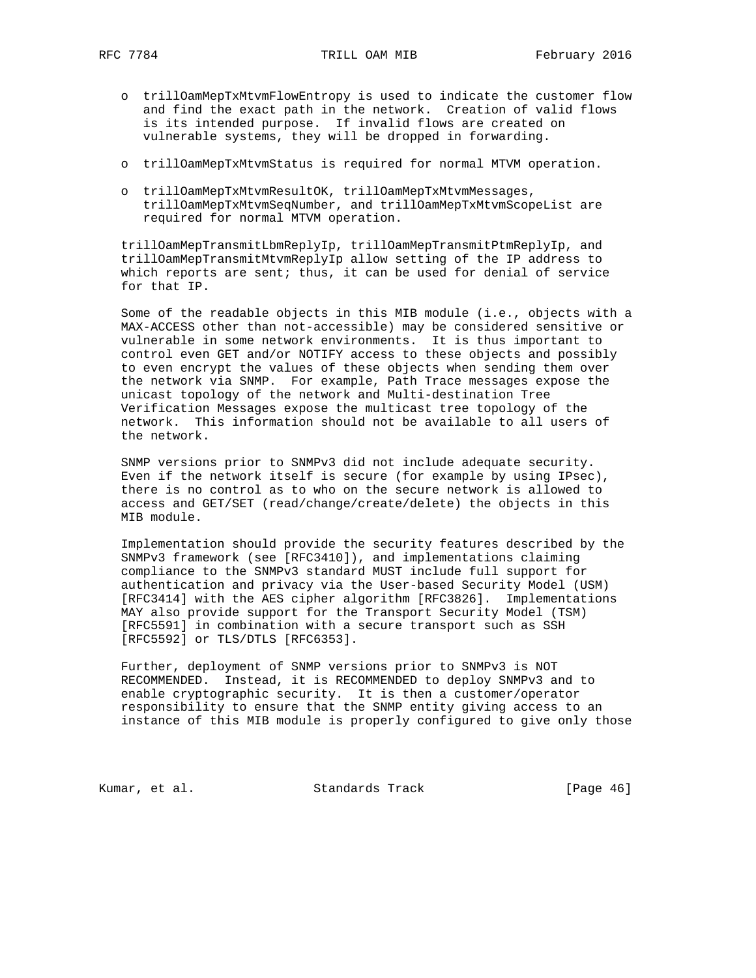- o trillOamMepTxMtvmFlowEntropy is used to indicate the customer flow and find the exact path in the network. Creation of valid flows is its intended purpose. If invalid flows are created on vulnerable systems, they will be dropped in forwarding.
- o trillOamMepTxMtvmStatus is required for normal MTVM operation.
- o trillOamMepTxMtvmResultOK, trillOamMepTxMtvmMessages, trillOamMepTxMtvmSeqNumber, and trillOamMepTxMtvmScopeList are required for normal MTVM operation.

 trillOamMepTransmitLbmReplyIp, trillOamMepTransmitPtmReplyIp, and trillOamMepTransmitMtvmReplyIp allow setting of the IP address to which reports are sent; thus, it can be used for denial of service for that IP.

 Some of the readable objects in this MIB module (i.e., objects with a MAX-ACCESS other than not-accessible) may be considered sensitive or vulnerable in some network environments. It is thus important to control even GET and/or NOTIFY access to these objects and possibly to even encrypt the values of these objects when sending them over the network via SNMP. For example, Path Trace messages expose the unicast topology of the network and Multi-destination Tree Verification Messages expose the multicast tree topology of the network. This information should not be available to all users of the network.

 SNMP versions prior to SNMPv3 did not include adequate security. Even if the network itself is secure (for example by using IPsec), there is no control as to who on the secure network is allowed to access and GET/SET (read/change/create/delete) the objects in this MIB module.

 Implementation should provide the security features described by the SNMPv3 framework (see [RFC3410]), and implementations claiming compliance to the SNMPv3 standard MUST include full support for authentication and privacy via the User-based Security Model (USM) [RFC3414] with the AES cipher algorithm [RFC3826]. Implementations MAY also provide support for the Transport Security Model (TSM) [RFC5591] in combination with a secure transport such as SSH [RFC5592] or TLS/DTLS [RFC6353].

 Further, deployment of SNMP versions prior to SNMPv3 is NOT RECOMMENDED. Instead, it is RECOMMENDED to deploy SNMPv3 and to enable cryptographic security. It is then a customer/operator responsibility to ensure that the SNMP entity giving access to an instance of this MIB module is properly configured to give only those

Kumar, et al. Standards Track [Page 46]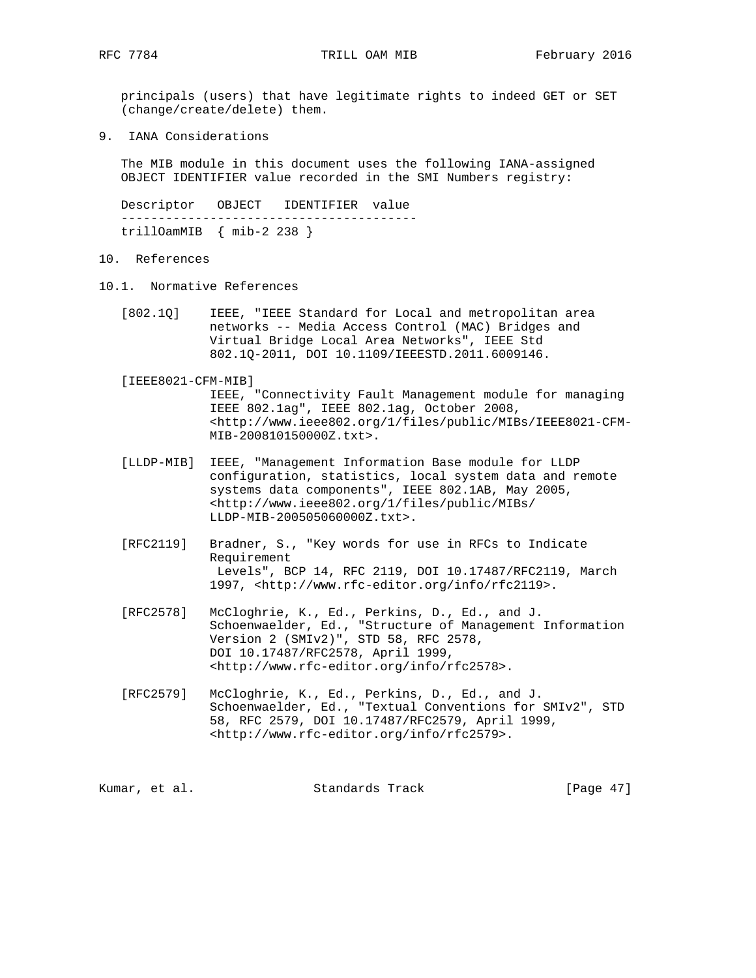principals (users) that have legitimate rights to indeed GET or SET (change/create/delete) them.

9. IANA Considerations

 The MIB module in this document uses the following IANA-assigned OBJECT IDENTIFIER value recorded in the SMI Numbers registry:

 Descriptor OBJECT IDENTIFIER value --------------------------------------- trillOamMIB { mib-2 238 }

- 10. References
- 10.1. Normative References
	- [802.1Q] IEEE, "IEEE Standard for Local and metropolitan area networks -- Media Access Control (MAC) Bridges and Virtual Bridge Local Area Networks", IEEE Std 802.1Q-2011, DOI 10.1109/IEEESTD.2011.6009146.
	- [IEEE8021-CFM-MIB]

 IEEE, "Connectivity Fault Management module for managing IEEE 802.1ag", IEEE 802.1ag, October 2008, <http://www.ieee802.org/1/files/public/MIBs/IEEE8021-CFM- MIB-200810150000Z.txt>.

- [LLDP-MIB] IEEE, "Management Information Base module for LLDP configuration, statistics, local system data and remote systems data components", IEEE 802.1AB, May 2005, <http://www.ieee802.org/1/files/public/MIBs/ LLDP-MIB-200505060000Z.txt>.
- [RFC2119] Bradner, S., "Key words for use in RFCs to Indicate Requirement Levels", BCP 14, RFC 2119, DOI 10.17487/RFC2119, March 1997, <http://www.rfc-editor.org/info/rfc2119>.
- [RFC2578] McCloghrie, K., Ed., Perkins, D., Ed., and J. Schoenwaelder, Ed., "Structure of Management Information Version 2 (SMIv2)", STD 58, RFC 2578, DOI 10.17487/RFC2578, April 1999, <http://www.rfc-editor.org/info/rfc2578>.
- [RFC2579] McCloghrie, K., Ed., Perkins, D., Ed., and J. Schoenwaelder, Ed., "Textual Conventions for SMIv2", STD 58, RFC 2579, DOI 10.17487/RFC2579, April 1999, <http://www.rfc-editor.org/info/rfc2579>.

Kumar, et al. Standards Track [Page 47]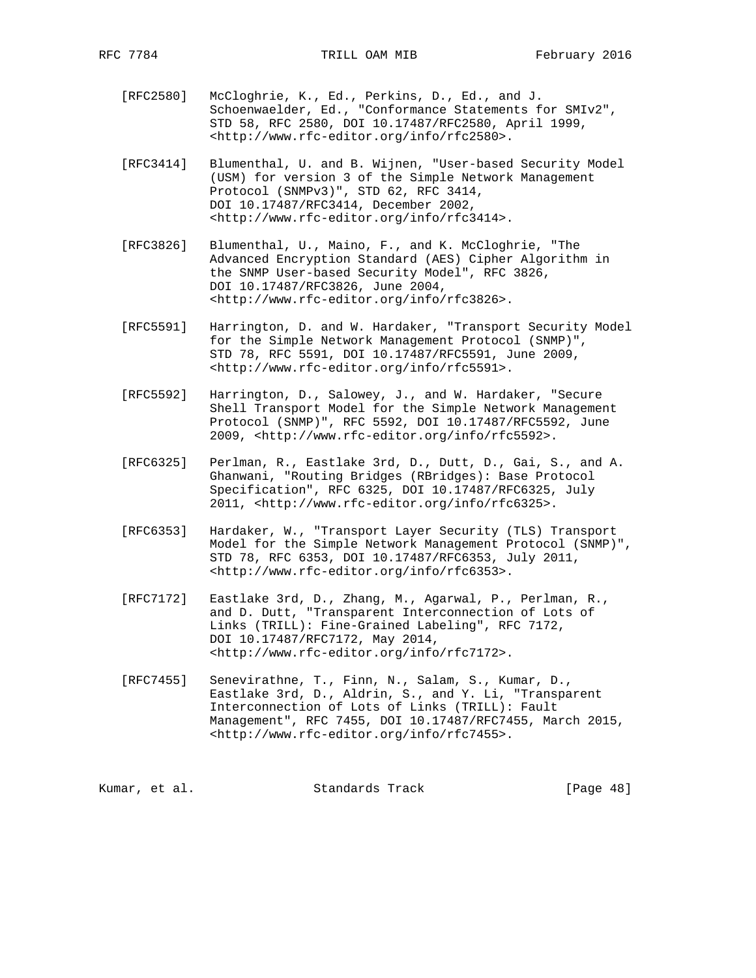- [RFC2580] McCloghrie, K., Ed., Perkins, D., Ed., and J. Schoenwaelder, Ed., "Conformance Statements for SMIv2", STD 58, RFC 2580, DOI 10.17487/RFC2580, April 1999, <http://www.rfc-editor.org/info/rfc2580>.
- [RFC3414] Blumenthal, U. and B. Wijnen, "User-based Security Model (USM) for version 3 of the Simple Network Management Protocol (SNMPv3)", STD 62, RFC 3414, DOI 10.17487/RFC3414, December 2002, <http://www.rfc-editor.org/info/rfc3414>.
- [RFC3826] Blumenthal, U., Maino, F., and K. McCloghrie, "The Advanced Encryption Standard (AES) Cipher Algorithm in the SNMP User-based Security Model", RFC 3826, DOI 10.17487/RFC3826, June 2004, <http://www.rfc-editor.org/info/rfc3826>.
- [RFC5591] Harrington, D. and W. Hardaker, "Transport Security Model for the Simple Network Management Protocol (SNMP)", STD 78, RFC 5591, DOI 10.17487/RFC5591, June 2009, <http://www.rfc-editor.org/info/rfc5591>.
- [RFC5592] Harrington, D., Salowey, J., and W. Hardaker, "Secure Shell Transport Model for the Simple Network Management Protocol (SNMP)", RFC 5592, DOI 10.17487/RFC5592, June 2009, <http://www.rfc-editor.org/info/rfc5592>.
- [RFC6325] Perlman, R., Eastlake 3rd, D., Dutt, D., Gai, S., and A. Ghanwani, "Routing Bridges (RBridges): Base Protocol Specification", RFC 6325, DOI 10.17487/RFC6325, July 2011, <http://www.rfc-editor.org/info/rfc6325>.
- [RFC6353] Hardaker, W., "Transport Layer Security (TLS) Transport Model for the Simple Network Management Protocol (SNMP)", STD 78, RFC 6353, DOI 10.17487/RFC6353, July 2011, <http://www.rfc-editor.org/info/rfc6353>.
- [RFC7172] Eastlake 3rd, D., Zhang, M., Agarwal, P., Perlman, R., and D. Dutt, "Transparent Interconnection of Lots of Links (TRILL): Fine-Grained Labeling", RFC 7172, DOI 10.17487/RFC7172, May 2014, <http://www.rfc-editor.org/info/rfc7172>.
- [RFC7455] Senevirathne, T., Finn, N., Salam, S., Kumar, D., Eastlake 3rd, D., Aldrin, S., and Y. Li, "Transparent Interconnection of Lots of Links (TRILL): Fault Management", RFC 7455, DOI 10.17487/RFC7455, March 2015, <http://www.rfc-editor.org/info/rfc7455>.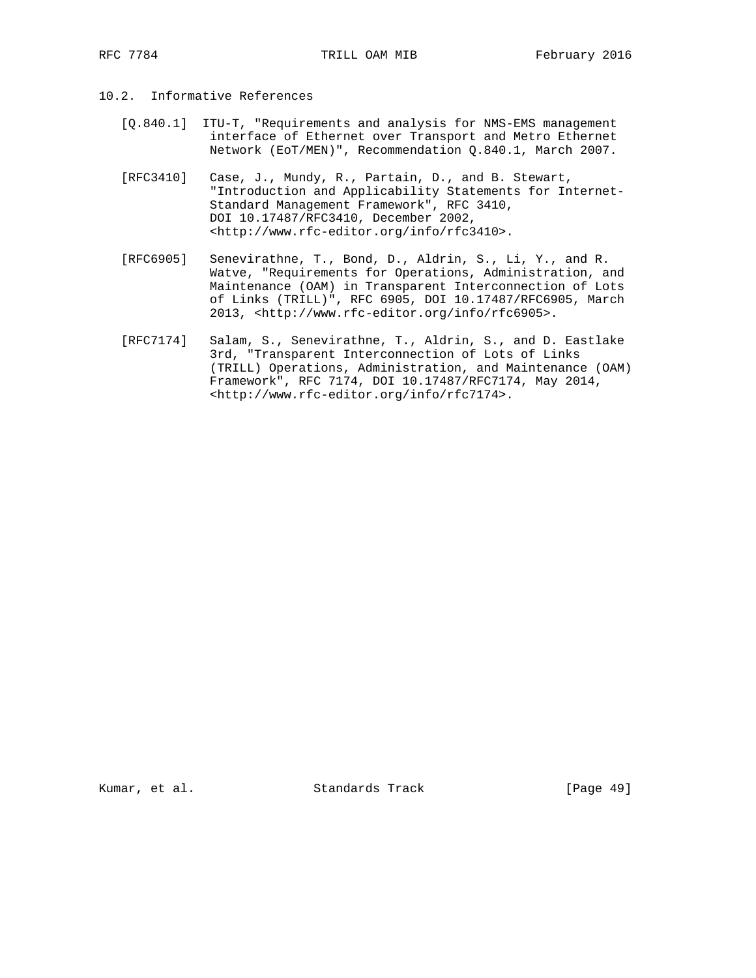- 10.2. Informative References
	- [Q.840.1] ITU-T, "Requirements and analysis for NMS-EMS management interface of Ethernet over Transport and Metro Ethernet Network (EoT/MEN)", Recommendation Q.840.1, March 2007.
	- [RFC3410] Case, J., Mundy, R., Partain, D., and B. Stewart, "Introduction and Applicability Statements for Internet- Standard Management Framework", RFC 3410, DOI 10.17487/RFC3410, December 2002, <http://www.rfc-editor.org/info/rfc3410>.
	- [RFC6905] Senevirathne, T., Bond, D., Aldrin, S., Li, Y., and R. Watve, "Requirements for Operations, Administration, and Maintenance (OAM) in Transparent Interconnection of Lots of Links (TRILL)", RFC 6905, DOI 10.17487/RFC6905, March 2013, <http://www.rfc-editor.org/info/rfc6905>.
	- [RFC7174] Salam, S., Senevirathne, T., Aldrin, S., and D. Eastlake 3rd, "Transparent Interconnection of Lots of Links (TRILL) Operations, Administration, and Maintenance (OAM) Framework", RFC 7174, DOI 10.17487/RFC7174, May 2014, <http://www.rfc-editor.org/info/rfc7174>.

Kumar, et al. Standards Track [Page 49]